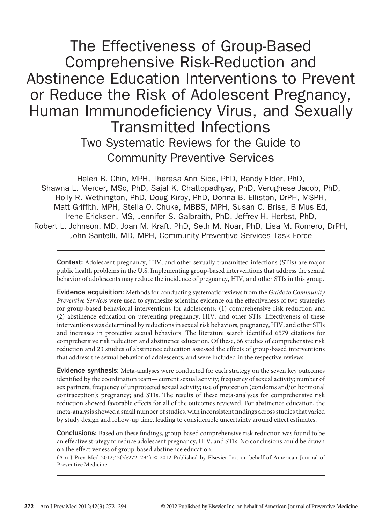# The Effectiveness of Group-Based Comprehensive Risk-Reduction and Abstinence Education Interventions to Prevent or Reduce the Risk of Adolescent Pregnancy, Human Immunodeficiency Virus, and Sexually Transmitted Infections Two Systematic Reviews for the Guide to Community Preventive Services

Helen B. Chin, MPH, Theresa Ann Sipe, PhD, Randy Elder, PhD, Shawna L. Mercer, MSc, PhD, Sajal K. Chattopadhyay, PhD, Verughese Jacob, PhD, Holly R. Wethington, PhD, Doug Kirby, PhD, Donna B. Elliston, DrPH, MSPH, Matt Griffith, MPH, Stella O. Chuke, MBBS, MPH, Susan C. Briss, B Mus Ed, Irene Ericksen, MS, Jennifer S. Galbraith, PhD, Jeffrey H. Herbst, PhD, Robert L. Johnson, MD, Joan M. Kraft, PhD, Seth M. Noar, PhD, Lisa M. Romero, DrPH, John Santelli, MD, MPH, Community Preventive Services Task Force

Context: Adolescent pregnancy, HIV, and other sexually transmitted infections (STIs) are major public health problems in the U.S. Implementing group-based interventions that address the sexual behavior of adolescents may reduce the incidence of pregnancy, HIV, and other STIs in this group.

Evidence acquisition: Methods for conducting systematic reviews from the *Guide to Community Preventive Services* were used to synthesize scientifıc evidence on the effectiveness of two strategies for group-based behavioral interventions for adolescents: (1) comprehensive risk reduction and (2) abstinence education on preventing pregnancy, HIV, and other STIs. Effectiveness of these interventions was determined by reductions in sexual risk behaviors, pregnancy, HIV, and other STIs and increases in protective sexual behaviors. The literature search identifıed 6579 citations for comprehensive risk reduction and abstinence education. Of these, 66 studies of comprehensive risk reduction and 23 studies of abstinence education assessed the effects of group-based interventions that address the sexual behavior of adolescents, and were included in the respective reviews.

Evidence synthesis: Meta-analyses were conducted for each strategy on the seven key outcomes identifıed by the coordination team— current sexual activity; frequency of sexual activity; number of sex partners; frequency of unprotected sexual activity; use of protection (condoms and/or hormonal contraception); pregnancy; and STIs. The results of these meta-analyses for comprehensive risk reduction showed favorable effects for all of the outcomes reviewed. For abstinence education, the meta-analysis showed a small number of studies, with inconsistent fındings across studies that varied by study design and follow-up time, leading to considerable uncertainty around effect estimates.

Conclusions: Based on these fındings, group-based comprehensive risk reduction was found to be an effective strategy to reduce adolescent pregnancy, HIV, and STIs. No conclusions could be drawn on the effectiveness of group-based abstinence education.

(Am J Prev Med 2012;42(3):272–294) © 2012 Published by Elsevier Inc. on behalf of American Journal of Preventive Medicine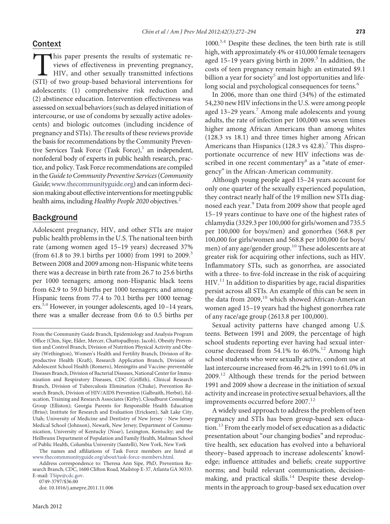# **Context**

This paper presents the results of systematic reviews of effectiveness in preventing pregnancy,<br>HIV, and other sexually transmitted infections<br>(STI) of two group-based behavioral interventions for views of effectiveness in preventing pregnancy, HIV, and other sexually transmitted infections (STI) of two group-based behavioral interventions for adolescents: (1) comprehensive risk reduction and (2) abstinence education. Intervention effectiveness was assessed on sexual behaviors (such as delayed initiation of intercourse, or use of condoms by sexually active adolescents) and biologic outcomes (including incidence of pregnancy and STIs). The results of these reviews provide the basis for recommendations by the Community Preventive Services Task Force (Task Force), $\frac{1}{1}$  an independent, nonfederal body of experts in public health research, practice, and policy. Task Force recommendations are compiled in the*Guide to Community Preventive Services*(*Community Guide*;[www.thecommunityguide.org\)](http://www.thecommunityguide.org) and can inform decision making about effective interventions for meeting public health aims, including *Healthy People 2020* objectives.<sup>2</sup>

# Background

Adolescent pregnancy, HIV, and other STIs are major public health problems in the U.S. The national teen birth rate (among women aged 15–19 years) decreased 37% (from 61.8 to [3](#page-18-2)9.1 births per 1000) from 1991 to  $2009$ <sup>3</sup> Between 2008 and 2009 among non-Hispanic white teens there was a decrease in birth rate from 26.7 to 25.6 births per 1000 teenagers; among non-Hispanic black teens from 62.9 to 59.0 births per 1000 teenagers; and among Hispanic teens from 77.4 to 70.1 births per 1000 teenagers.<sup>3,4</sup> However, in younger adolescents, aged 10–14 years, there was a smaller decrease from 0.6 to 0.5 births per

0749-3797/\$36.00

1000[.3,4](#page-18-2) Despite these declines, the teen birth rate is still high, with approximately 4% or 410,000 female teenagers aged 15–19 years giving birth in 2009. $3$  In addition, the costs of teen pregnancy remain high: an estimated \$9.1 billion a year for society<sup>[5](#page-18-3)</sup> and lost opportunities and life-long social and psychological consequences for teens.<sup>[6](#page-18-4)</sup>

In 2006, more than one third (34%) of the estimated 54,230 new HIV infections in the U.S. were among people aged 13–29 years.<sup>[7](#page-18-5)</sup> Among male adolescents and young adults, the rate of infection per 100,000 was seven times higher among African Americans than among whites (128.3 vs 18.1) and three times higher among African Americans than Hispanics (128.3 vs  $42.8$ ).<sup>[7](#page-18-5)</sup> This disproportionate occurrence of new HIV infections was de-scribed in one recent commentary<sup>[8](#page-18-6)</sup> as a "state of emergency" in the African-American community.

Although young people aged 15–24 years account for only one quarter of the sexually experienced population, they contract nearly half of the 19 million new STIs diag-nosed each year.<sup>[9](#page-18-7)</sup> Data from 2009 show that people aged 15–19 years continue to have one of the highest rates of chlamydia (3329.3 per 100,000 for girls/women and 735.5 per 100,000 for boys/men) and gonorrhea (568.8 per 100,000 for girls/women and 568.8 per 100,000 for boys/ men) of any age/gender group.<sup>[10](#page-19-0)</sup> These adolescents are at greater risk for acquiring other infections, such as HIV. Inflammatory STIs, such as gonorrhea, are associated with a three- to fıve-fold increase in the risk of acquiring  $HIV.<sup>11</sup>$  $HIV.<sup>11</sup>$  $HIV.<sup>11</sup>$  In addition to disparities by age, racial disparities persist across all STIs. An example of this can be seen in the data from  $2009$ ,<sup>[10](#page-19-0)</sup> which showed African-American women aged 15–19 years had the highest gonorrhea rate of any race/age group (2613.8 per 100,000).

Sexual activity patterns have changed among U.S. teens. Between 1991 and 2009, the percentage of high school students reporting ever having had sexual intercourse decreased from  $54.1\%$  to  $46.0\%$ .<sup>[12](#page-19-2)</sup> Among high school students who were sexually active, condom use at last intercourse increased from 46.2% in 1991 to 61.0% in  $2009<sup>12</sup>$  $2009<sup>12</sup>$  $2009<sup>12</sup>$  Although these trends for the period between 1991 and 2009 show a decrease in the initiation of sexual activity and increase in protective sexual behaviors, all the improvements occurred before 2007.<sup>[12](#page-19-2)</sup>

A widely used approach to address the problem of teen pregnancy and STIs has been group-based sex educa-tion.<sup>[13](#page-19-3)</sup> From the early model of sex education as a didactic presentation about "our changing bodies" and reproductive health, sex education has evolved into a behavioral theory– based approach to increase adolescents' knowledge; influence attitudes and beliefs; create supportive norms; and build relevant communication, decision-making, and practical skills.<sup>[14](#page-19-4)</sup> Despite these developments in the approach to group-based sex education over

From the Community Guide Branch, Epidemiology and Analysis Program Offıce (Chin, Sipe, Elder, Mercer, Chattopadhyay, Jacob), Obesity Prevention and Control Branch, Division of Nutrition Physical Activity and Obesity (Wethington), Women's Health and Fertility Branch, Division of Reproductive Health (Kraft), Research Application Branch, Division of Adolescent School Health (Romero), Meningitis and Vaccine-preventable Diseases Branch, Division of Bacterial Diseases, National Center for Immunization and Respiratory Diseases, CDC (Griffıth), Clinical Research Branch, Division of Tuberculosis Elimination (Chuke), Prevention Research Branch, Division of HIV/AIDS Prevention (Galbraith, Herbst), Education, Training and Research Associates (Kirby), Cloudburst Consulting Group (Elliston); Georgia Parents for Responsible Health Education (Briss); Institute for Research and Evaluation (Ericksen), Salt Lake City, Utah; University of Medicine and Dentistry of New Jersey - New Jersey Medical School (Johnson), Newark, New Jersey; Department of Communication, University of Kentucky (Noar), Lexington, Kentucky; and the Heilbrunn Department of Population and Family Health, Mailman School of Public Health, Columbia University (Santelli), New York, New York

The names and affıliations of Task Force members are listed at [www.thecommmunityguide.org/about/task-force-members.html.](http://www.thecommmunityguide.org/about/task-force-members.html)

Address correspondence to: Theresa Ann Sipe, PhD, Prevention Research Branch, CDC, 1600 Clifton Road, Mailstop E-37, Atlanta GA 30333. E-mail: [TSipe@cdc.gov.](mailto:TSipe@cdc.gov)

doi: 10.1016/j.amepre.2011.11.006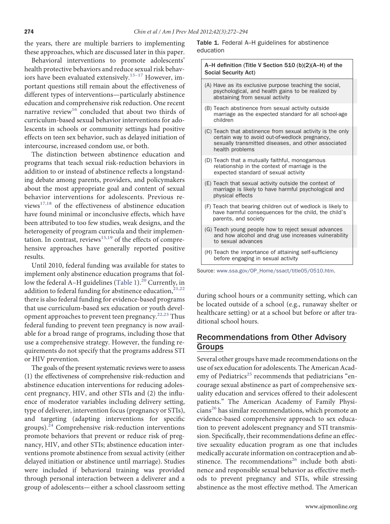the years, there are multiple barriers to implementing these approaches, which are discussed later in this paper.

Behavioral interventions to promote adolescents' health protective behaviors and reduce sexual risk behav-iors have been evaluated extensively.<sup>[15–17](#page-19-5)</sup> However, important questions still remain about the effectiveness of different types of interventions—particularly abstinence education and comprehensive risk reduction. One recent narrative review<sup>[16](#page-19-6)</sup> concluded that about two thirds of curriculum-based sexual behavior interventions for adolescents in schools or community settings had positive effects on teen sex behavior, such as delayed initiation of intercourse, increased condom use, or both.

The distinction between abstinence education and programs that teach sexual risk-reduction behaviors in addition to or instead of abstinence reflects a longstanding debate among parents, providers, and policymakers about the most appropriate goal and content of sexual behavior interventions for adolescents. Previous reviews $17,18$  of the effectiveness of abstinence education have found minimal or inconclusive effects, which have been attributed to too few studies, weak designs, and the heterogeneity of program curricula and their implementation. In contrast, reviews $^{15,19}$  $^{15,19}$  $^{15,19}$  of the effects of comprehensive approaches have generally reported positive results.

Until 2010, federal funding was available for states to implement only abstinence education programs that fol-low the federal A–H guidelines [\(Table 1\)](#page-2-0).<sup>[20](#page-19-8)</sup> Currently, in addition to federal funding for abstinence education,<sup>[21,22](#page-19-9)</sup> there is also federal funding for evidence-based programs that use curriculum-based sex education or youth devel-opment approaches to prevent teen pregnancy.<sup>[22,23](#page-19-10)</sup> Thus federal funding to prevent teen pregnancy is now available for a broad range of programs, including those that use a comprehensive strategy. However, the funding requirements do not specify that the programs address STI or HIV prevention.

The goals of the present systematic reviews were to assess (1) the effectiveness of comprehensive risk-reduction and abstinence education interventions for reducing adolescent pregnancy, HIV, and other STIs and (2) the influence of moderator variables including delivery setting, type of deliverer, intervention focus (pregnancy or STIs), and targeting (adapting interventions for specifıc groups). $24$  Comprehensive risk-reduction interventions promote behaviors that prevent or reduce risk of pregnancy, HIV, and other STIs; abstinence education interventions promote abstinence from sexual activity (either delayed initiation or abstinence until marriage). Studies were included if behavioral training was provided through personal interaction between a deliverer and a group of adolescents— either a school classroom setting <span id="page-2-0"></span>Table 1. Federal A–H guidelines for abstinence education

| A-H definition (Title V Section 510 (b)(2)(A-H) of the<br><b>Social Security Act)</b>                                                                                                  |
|----------------------------------------------------------------------------------------------------------------------------------------------------------------------------------------|
| (A) Have as its exclusive purpose teaching the social,<br>psychological, and health gains to be realized by<br>abstaining from sexual activity                                         |
| (B) Teach abstinence from sexual activity outside<br>marriage as the expected standard for all school-age<br>children                                                                  |
| (C) Teach that abstinence from sexual activity is the only<br>certain way to avoid out-of-wedlock pregnancy,<br>sexually transmitted diseases, and other associated<br>health problems |
| (D) Teach that a mutually faithful, monogamous<br>relationship in the context of marriage is the<br>expected standard of sexual activity                                               |
| (E) Teach that sexual activity outside the context of<br>marriage is likely to have harmful psychological and<br>physical effects                                                      |
| (F) Teach that bearing children out of wedlock is likely to<br>have harmful consequences for the child, the child's<br>parents, and society                                            |
| (G) Teach young people how to reject sexual advances<br>and how alcohol and drug use increases vulnerability<br>to sexual advances                                                     |
| (H) Teach the importance of attaining self-sufficiency<br>before engaging in sexual activity                                                                                           |
| $m1$ and $m2$ and $m3$ and $m4$ and $m5$ and $m6$ and $m7$ and $m7$ and $m7$ and $m7$ and $m7$ and $m7$ and $m7$ and $m7$ and $m7$                                                     |

Source: [www.ssa.gov/OP\\_Home/ssact/title05/0510.htm.](http://www.ssa.gov/OP_Home/ssact/title05/0510.htm)

during school hours or a community setting, which can be located outside of a school (e.g., runaway shelter or healthcare setting) or at a school but before or after traditional school hours.

# Recommendations from Other Advisory Groups

Several other groups have made recommendations on the use of sex education for adolescents. The American Acad-emy of Pediatrics<sup>[25](#page-19-12)</sup> recommends that pediatricians "encourage sexual abstinence as part of comprehensive sexuality education and services offered to their adolescent patients." The American Academy of Family Physicians[26](#page-19-13) has similar recommendations, which promote an evidence-based comprehensive approach to sex education to prevent adolescent pregnancy and STI transmission. Specifıcally, their recommendations defıne an effective sexuality education program as one that includes medically accurate information on contraception and abstinence. The recommendations $26$  include both abstinence and responsible sexual behavior as effective methods to prevent pregnancy and STIs, while stressing abstinence as the most effective method. The American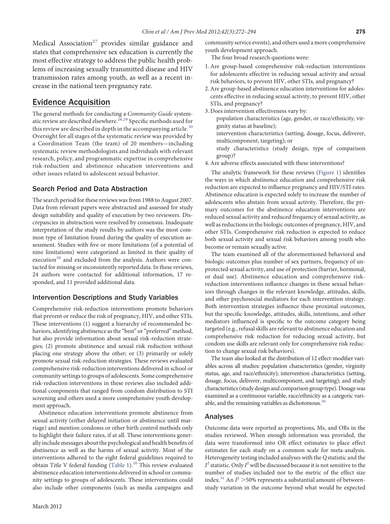Medical Association<sup>[27](#page-19-14)</sup> provides similar guidance and states that comprehensive sex education is currently the most effective strategy to address the public health problems of increasing sexually transmitted disease and HIV transmission rates among youth, as well as a recent increase in the national teen pregnancy rate.

# Evidence Acquisition

The general methods for conducting a *Community Guide* systematic review are described elsewhere.<sup>28,29</sup> Specific methods used for this review are described in depth in the accompanying article. $^{30}$  $^{30}$  $^{30}$ Oversight for all stages of the systematic review was provided by a Coordination Team (the team) of 20 members—including systematic review methodologists and individuals with relevant research, policy, and programmatic expertise in comprehensive risk-reduction and abstinence education interventions and other issues related to adolescent sexual behavior.

### Search Period and Data Abstraction

The search period for these reviews was from 1988 to August 2007. Data from relevant papers were abstracted and assessed for study design suitability and quality of execution by two reviewers. Discrepancies in abstraction were resolved by consensus. Inadequate interpretation of the study results by authors was the most common type of limitation found during the quality of execution assessment. Studies with fıve or more limitations (of a potential of nine limitations) were categorized as limited in their quality of execution<sup>28</sup> and excluded from the analysis. Authors were contacted for missing or inconsistently reported data. In these reviews, 24 authors were contacted for additional information, 17 responded, and 11 provided additional data.

### Intervention Descriptions and Study Variables

Comprehensive risk-reduction interventions promote behaviors that prevent or reduce the risk of pregnancy, HIV, and other STIs. These interventions (1) suggest a hierarchy of recommended behaviors, identifying abstinence as the "best" or "preferred" method, but also provide information about sexual risk-reduction strategies; (2) promote abstinence and sexual risk reduction without placing one strategy above the other; or (3) primarily or solely promote sexual risk-reduction strategies. These reviews evaluated comprehensive risk-reduction interventions delivered in school or community settings to groups of adolescents. Some comprehensive risk-reduction interventions in these reviews also included additional components that ranged from condom distribution to STI screening and others used a more comprehensive youth development approach.

Abstinence education interventions promote abstinence from sexual activity (either delayed initiation or abstinence until marriage) and mention condoms or other birth control methods only to highlight their failure rates, if at all. These interventions generally include messages about the psychological and health benefıts of abstinence as well as the harms of sexual activity. Most of the interventions adhered to the eight federal guidelines required to obtain Title V federal funding [\(Table 1\)](#page-2-0).<sup>20</sup> This review evaluated abstinence education interventions delivered in school or community settings to groups of adolescents. These interventions could also include other components (such as media campaigns and

community service events), and others used a more comprehensive youth development approach.

The four broad research questions were:

- 1. Are group-based comprehensive risk-reduction interventions for adolescents effective in reducing sexual activity and sexual risk behaviors, to prevent HIV, other STIs, and pregnancy?
- 2. Are group-based abstinence education interventions for adolescents effective in reducing sexual activity, to prevent HIV, other STIs, and pregnancy?
- 3. Does intervention effectiveness vary by:

population characteristics (age, gender, or race/ethnicity, virginity status at baseline);

- intervention characteristics (setting, dosage, focus, deliverer, multicomponent, targeting); or
- study characteristics (study design, type of comparison group)?
- 4. Are adverse effects associated with these interventions?

The analytic framework for these reviews [\(Figure 1\)](#page-4-0) identifıes the ways in which abstinence education and comprehensive risk reduction are expected to influence pregnancy and HIV/STI rates. Abstinence education is expected solely to increase the number of adolescents who abstain from sexual activity. Therefore, the primary outcomes for the abstinence education interventions are reduced sexual activity and reduced frequency of sexual activity, as well as reductions in the biologic outcomes of pregnancy, HIV, and other STIs. Comprehensive risk reduction is expected to reduce both sexual activity and sexual risk behaviors among youth who become or remain sexually active.

The team examined all of the aforementioned behavioral and biologic outcomes plus number of sex partners, frequency of unprotected sexual activity, and use of protection (barrier, hormonal, or dual use). Abstinence education and comprehensive riskreduction interventions influence changes in these sexual behaviors through changes in the relevant knowledge, attitudes, skills, and other psychosocial mediators for each intervention strategy. Both intervention strategies influence these proximal outcomes, but the specifıc knowledge, attitudes, skills, intentions, and other mediators influenced is specifıc to the outcome category being targeted (e.g., refusal skills are relevant to abstinence education and comprehensive risk reduction for reducing sexual activity, but condom use skills are relevant only for comprehensive risk reduction to change sexual risk behaviors).

The team also looked at the distribution of 12 effect-modifıer variables across all studies: population characteristics (gender, virginity status, age, and race/ethnicity); intervention characteristics (setting, dosage, focus, deliverer, multicomponent, and targeting); and study characteristics (study design and comparison group type). Dosagewas examined as a continuous variable, race/ethnicity as a categoric variable, and the remaining variables as dichotomous.<sup>30</sup>

#### Analyses

Outcome data were reported as proportions, Ms, and ORs in the studies reviewed. When enough information was provided, the data were transformed into OR effect estimates to place effect estimates for each study on a common scale for meta-analysis. Heterogeneity testing included analyses with the *Q* statistic and the *I* <sup>2</sup> statistic. Only *I* 2will be discussed because it is not sensitive to the number of studies included nor to the metric of the effect size index.<sup>31</sup> An  $I^2$  >50% represents a substantial amount of betweenstudy variation in the outcome beyond what would be expected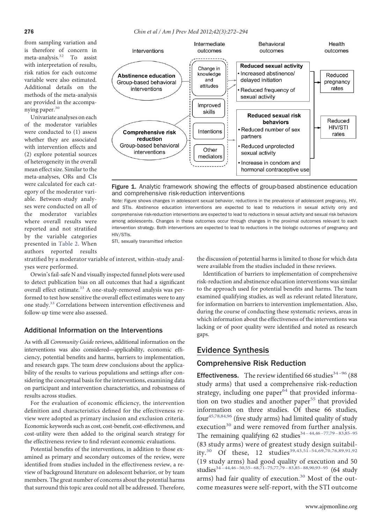from sampling variation and is therefore of concern in meta-analysis. $32$  To assist with interpretation of results, risk ratios for each outcome variable were also estimated. Additional details on the methods of the meta-analysis are provided in the accompanying paper.<sup>30</sup>

Univariate analyses on each of the moderator variables were conducted to (1) assess whether they are associated with intervention effects and (2) explore potential sources of heterogeneity in the overall mean effect size. Similar to the meta-analyses, ORs and CIs were calculated for each category of the moderator variable. Between-study analyses were conducted on all of the moderator variables where overall results were reported and not stratifıed by the variable categories presented in [Table 2.](#page-5-0) When authors reported results



<span id="page-4-0"></span>

*Note:* Figure shows changes in adolescent sexual behavior, reductions in the prevalence of adolescent pregnancy, HIV, and STIs. Abstinence education interventions are expected to lead to reductions in sexual activity only and comprehensive risk-reduction interventions are expected to lead to reductions in sexual activity and sexual risk behaviors among adolescents. Changes in these outcomes occur through changes in the proximal outcomes relevant to each intervention strategy. Both interventions are expected to lead to reductions in the biologic outcomes of pregnancy and HIV/STIs.

STI, sexually transmitted infection

stratifıed by a moderator variable of interest, within-study analyses were performed.

Orwin's fail-safe N and visually inspected funnel plots were used to detect publication bias on all outcomes that had a signifıcant overall effect estimate.<sup>33</sup> A one-study-removed analysis was performed to test how sensitive the overall effect estimates were to any one study[.33](#page-19-19) Correlations between intervention effectiveness and follow-up time were also assessed.

### Additional Information on the Interventions

As with all *Community Guide* reviews, additional information on the interventions was also considered—applicability, economic effıciency, potential benefıts and harms, barriers to implementation, and research gaps. The team drew conclusions about the applicability of the results to various populations and settings after considering the conceptual basis for the interventions, examining data on participant and intervention characteristics, and robustness of results across studies.

For the evaluation of economic effıciency, the intervention defınition and characteristics defıned for the effectiveness review were adopted as primary inclusion and exclusion criteria. Economic keywords such as cost, cost-benefıt, cost-effectiveness, and cost-utility were then added to the original search strategy for the effectiveness review to fınd relevant economic evaluations.

Potential benefıts of the interventions, in addition to those examined as primary and secondary outcomes of the review, were identifıed from studies included in the effectiveness review, a review of background literature on adolescent behavior, or by team members. The great number of concerns about the potential harms that surround this topic area could not all be addressed. Therefore, the discussion of potential harms is limited to those for which data were available from the studies included in these reviews.

Identifıcation of barriers to implementation of comprehensive risk-reduction and abstinence education interventions was similar to the approach used for potential benefıts and harms. The team examined qualifying studies, as well as relevant related literature, for information on barriers to intervention implementation. Also, during the course of conducting these systematic reviews, areas in which information about the effectiveness of the interventions was lacking or of poor quality were identifıed and noted as research gaps.

# Evidence Synthesis

### Comprehensive Risk Reduction

**Effectiveness.** The review identified 66 studies<sup>34-96</sup> (88) study arms) that used a comprehensive risk-reduction strategy, including one paper $64$  that provided information on two studies and another paper $55$  that provided information on three studies. Of these 66 studies, fou[r45,78,84,96](#page-19-21) (fıve study arms) had limited quality of study execution $30$  and were removed from further analysis. The remaining qualifying 62 studies<sup>34–44,46–77,79–83,85–95</sup> (83 study arms) were of greatest study design suitabil-ity.<sup>[30](#page-19-16)</sup> Of these, 12 studies<sup>[39,43,51–54,69,70,76,89,91,92](#page-19-22)</sup> (19 study arms) had good quality of execution and 50 studies<sup>34–44,46–50,55–68,71–75,77,79–83,85–88,90,93–95</sup> (64 study arms) had fair quality of execution.<sup>[30](#page-19-16)</sup> Most of the outcome measures were self-report, with the STI outcome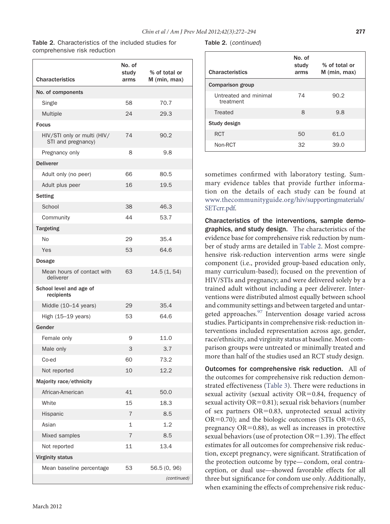<span id="page-5-0"></span>Table 2. Characteristics of the included studies for comprehensive risk reduction

| <b>Characteristics</b>                  | No. of<br>study<br>arms | % of total or<br>M (min, max) |
|-----------------------------------------|-------------------------|-------------------------------|
| No. of components                       |                         |                               |
| Single                                  | 58                      | 70.7                          |
| Multiple                                | 24                      | 29.3                          |
| <b>Focus</b>                            |                         |                               |
| HIV/STI only or multi (HIV/             | 74                      | 90.2                          |
| STI and pregnancy)                      |                         |                               |
| Pregnancy only                          | 8                       | 9.8                           |
| <b>Deliverer</b>                        |                         |                               |
| Adult only (no peer)                    | 66                      | 80.5                          |
| Adult plus peer                         | 16                      | 19.5                          |
| <b>Setting</b>                          |                         |                               |
| School                                  | 38                      | 46.3                          |
| Community                               | 44                      | 53.7                          |
| <b>Targeting</b>                        |                         |                               |
| <b>No</b>                               | 29                      | 35.4                          |
| Yes                                     | 53                      | 64.6                          |
| Dosage                                  |                         |                               |
| Mean hours of contact with<br>deliverer | 63                      | 14.5(1, 54)                   |
| School level and age of<br>recipients   |                         |                               |
| Middle (10-14 years)                    | 29                      | 35.4                          |
| High (15-19 years)                      | 53                      | 64.6                          |
| Gender                                  |                         |                               |
| Female only                             | 9                       | 11.0                          |
| Male only                               | 3                       | 3.7                           |
| Co-ed                                   | 60                      | 73.2                          |
| Not reported                            | 10                      | 12.2                          |
| Majority race/ethnicity                 |                         |                               |
| African-American                        | 41                      | 50.0                          |
| <b>White</b>                            | 15                      | 18.3                          |
| Hispanic                                | $\overline{7}$          | 8.5                           |
| Asian                                   | $\mathbf 1$             | 1.2                           |
| Mixed samples                           | $\overline{7}$          | 8.5                           |
| Not reported                            | 11                      | 13.4                          |
| <b>Virginity status</b>                 |                         |                               |
| Mean baseline percentage                | 53                      | 56.5 (0, 96)                  |
|                                         |                         | (continued)                   |

### Table 2. (*continued*)

| <b>Characteristics</b>             | No. of<br>study<br>arms | % of total or<br>$M$ (min, max) |
|------------------------------------|-------------------------|---------------------------------|
| <b>Comparison group</b>            |                         |                                 |
| Untreated and minimal<br>treatment | 74                      | 90.2                            |
| Treated                            | 8                       | 9.8                             |
| Study design                       |                         |                                 |
| <b>RCT</b>                         | 50                      | 61.0                            |
| Non-RCT                            | 32                      | 39.0                            |

sometimes confırmed with laboratory testing. Summary evidence tables that provide further information on the details of each study can be found at [www.thecommunityguide.org/hiv/supportingmaterials/](http://www.thecommunityguide.org/hiv/supportingmaterials/SETcrr.pdf) [SETcrr.pdf.](http://www.thecommunityguide.org/hiv/supportingmaterials/SETcrr.pdf)

Characteristics of the interventions, sample demographics, and study design. The characteristics of the evidence base for comprehensive risk reduction by number of study arms are detailed in [Table 2.](#page-5-0) Most comprehensive risk-reduction intervention arms were single component (i.e., provided group-based education only, many curriculum-based); focused on the prevention of HIV/STIs and pregnancy; and were delivered solely by a trained adult without including a peer deliverer. Interventions were distributed almost equally between school and community settings and between targeted and untar-geted approaches.<sup>[97](#page-21-0)</sup> Intervention dosage varied across studies. Participants in comprehensive risk-reduction interventions included representation across age, gender, race/ethnicity, and virginity status at baseline. Most comparison groups were untreated or minimally treated and more than half of the studies used an RCT study design.

Outcomes for comprehensive risk reduction. All of the outcomes for comprehensive risk reduction demonstrated effectiveness [\(Table 3\)](#page-6-0). There were reductions in sexual activity (sexual activity OR=0.84, frequency of sexual activity OR=0.81); sexual risk behaviors (number of sex partners OR=0.83, unprotected sexual activity OR=0.70); and the biologic outcomes (STIs OR=0.65, pregnancy OR=0.88), as well as increases in protective sexual behaviors (use of protection  $OR = 1.39$ ). The effect estimates for all outcomes for comprehensive risk reduction, except pregnancy, were signifıcant. Stratifıcation of the protection outcome by type— condom, oral contraception, or dual use—showed favorable effects for all three but signifıcance for condom use only. Additionally, when examining the effects of comprehensive risk reduc-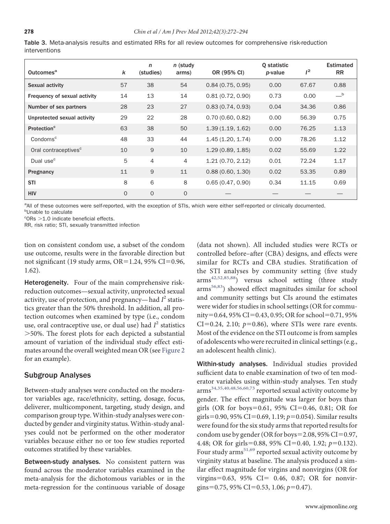| Outcomes <sup>a</sup>            | k           | n<br>(studies) | n (study<br>arms) | OR (95% CI)      | Q statistic<br>p-value | $l^2$ | Estimated<br><b>RR</b>                |
|----------------------------------|-------------|----------------|-------------------|------------------|------------------------|-------|---------------------------------------|
| Sexual activity                  | 57          | 38             | 54                | 0.84(0.75, 0.95) | 0.00                   | 67.67 | 0.88                                  |
| Frequency of sexual activity     | 14          | 13             | 14                | 0.81(0.72, 0.90) | 0.73                   | 0.00  | $\overline{\phantom{0}}^{\mathrm{b}}$ |
| Number of sex partners           | 28          | 23             | 27                | 0.83(0.74, 0.93) | 0.04                   | 34.36 | 0.86                                  |
| Unprotected sexual activity      | 29          | 22             | 28                | 0.70(0.60, 0.82) | 0.00                   | 56.39 | 0.75                                  |
| Protection <sup>c</sup>          | 63          | 38             | 50                | 1.39(1.19, 1.62) | 0.00                   | 76.25 | 1.13                                  |
| Condoms <sup>c</sup>             | 48          | 33             | 44                | 1.45(1.20, 1.74) | 0.00                   | 78.26 | 1.12                                  |
| Oral contraceptives <sup>c</sup> | 10          | 9              | 10                | 1.29(0.89, 1.85) | 0.02                   | 55.69 | 1.22                                  |
| Dual use <sup>c</sup>            | 5           | 4              | $\overline{4}$    | 1.21(0.70, 2.12) | 0.01                   | 72.24 | 1.17                                  |
| Pregnancy                        | 11          | 9              | 11                | 0.88(0.60, 1.30) | 0.02                   | 53.35 | 0.89                                  |
| <b>STI</b>                       | 8           | 6              | 8                 | 0.65(0.47, 0.90) | 0.34                   | 11.15 | 0.69                                  |
| <b>HIV</b>                       | $\mathbf 0$ | $\overline{O}$ | $\overline{O}$    |                  |                        |       |                                       |

<span id="page-6-0"></span>Table 3. Meta-analysis results and estimated RRs for all review outcomes for comprehensive risk-reduction interventions

<sup>a</sup>All of these outcomes were self-reported, with the exception of STIs, which were either self-reported or clinically documented.

**b**Unable to calculate

 $\textdegree$ ORs  $>$ 1.0 indicate beneficial effects.

RR, risk ratio; STI, sexually transmitted infection

tion on consistent condom use, a subset of the condom use outcome, results were in the favorable direction but not significant (19 study arms, OR=1.24, 95% CI=0.96, 1.62).

Heterogeneity. Four of the main comprehensive riskreduction outcomes—sexual activity, unprotected sexual activity, use of protection, and pregnancy— had *I* <sup>2</sup> statistics greater than the 50% threshold. In addition, all protection outcomes when examined by type (i.e., condom use, oral contraceptive use, or dual use) had *I* <sup>2</sup> statistics 50%. The forest plots for each depicted a substantial amount of variation of the individual study effect estimates around the overall weighted mean OR (see [Figure 2](#page-7-0) for an example).

# Subgroup Analyses

Between-study analyses were conducted on the moderator variables age, race/ethnicity, setting, dosage, focus, deliverer, multicomponent, targeting, study design, and comparison group type. Within-study analyses were conducted by gender and virginity status. Within-study analyses could not be performed on the other moderator variables because either no or too few studies reported outcomes stratifıed by these variables.

Between-study analyses. No consistent pattern was found across the moderator variables examined in the meta-analysis for the dichotomous variables or in the meta-regression for the continuous variable of dosage

(data not shown). All included studies were RCTs or controlled before–after (CBA) designs, and effects were similar for RCTs and CBA studies. Stratifıcation of the STI analyses by community setting (fıve study arms<sup>42,52,85,88</sup>) versus school setting (three study arm[s56,83\)](#page-20-2) showed effect magnitudes similar for school and community settings but CIs around the estimates were wider for studies in school settings (OR for community=0.64, 95% CI=0.43, 0.95; OR for school=0.71, 95%  $CI = 0.24$ , 2.10;  $p=0.86$ ), where STIs were rare events. Most of the evidence on the STI outcome is from samples of adolescents who were recruited in clinical settings (e.g., an adolescent health clinic).

Within-study analyses. Individual studies provided suffıcient data to enable examination of two of ten moderator variables using within-study analyses. Ten study arms<sup>[34,35,40,48,56,60,73](#page-19-20)</sup> reported sexual activity outcome by gender. The effect magnitude was larger for boys than girls (OR for boys-0.61, 95% CI-0.46, 0.81; OR for girls-0.90, 95% CI-0.69, 1.19; *p*-0.054). Similar results were found for the six study arms that reported results for condom use by gender (OR for boys =  $2.08$ ,  $95\%$  CI =  $0.97$ , 4.48; OR for girls=0.88, 95% CI=0.40, 1.92; *p*=0.132). Four study arms<sup>[51,69](#page-19-24)</sup> reported sexual activity outcome by virginity status at baseline. The analysis produced a similar effect magnitude for virgins and nonvirgins (OR for virgins=0.63, 95% CI= 0.46, 0.87; OR for nonvirgins=0.75, 95% CI=0.53, 1.06; *p*=0.47).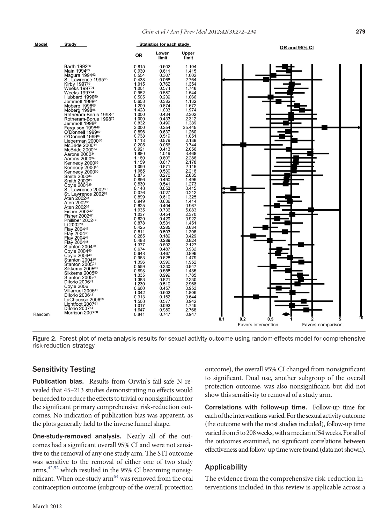| Model  | Study                                                                                                                                                                                                                                                                                                                                                                                                                                                                                                                                                                                                                                                                                                                                                                                                                                                                                                                                                                                                                                                                                                                                                                                                                                                                                                                                                                      | <b>Statistics for each study</b>                                                                                                                                                                                                                                                                                                                                                                                                                                                                                                       |                                                                                                                                                                                                                                                                                                                                                                                                                                                                                                                                        |                                                                                                                                                                                                                                                                                                                                                                                                                                                                                                                                         | OR and 95% CI                                   |
|--------|----------------------------------------------------------------------------------------------------------------------------------------------------------------------------------------------------------------------------------------------------------------------------------------------------------------------------------------------------------------------------------------------------------------------------------------------------------------------------------------------------------------------------------------------------------------------------------------------------------------------------------------------------------------------------------------------------------------------------------------------------------------------------------------------------------------------------------------------------------------------------------------------------------------------------------------------------------------------------------------------------------------------------------------------------------------------------------------------------------------------------------------------------------------------------------------------------------------------------------------------------------------------------------------------------------------------------------------------------------------------------|----------------------------------------------------------------------------------------------------------------------------------------------------------------------------------------------------------------------------------------------------------------------------------------------------------------------------------------------------------------------------------------------------------------------------------------------------------------------------------------------------------------------------------------|----------------------------------------------------------------------------------------------------------------------------------------------------------------------------------------------------------------------------------------------------------------------------------------------------------------------------------------------------------------------------------------------------------------------------------------------------------------------------------------------------------------------------------------|-----------------------------------------------------------------------------------------------------------------------------------------------------------------------------------------------------------------------------------------------------------------------------------------------------------------------------------------------------------------------------------------------------------------------------------------------------------------------------------------------------------------------------------------|-------------------------------------------------|
|        |                                                                                                                                                                                                                                                                                                                                                                                                                                                                                                                                                                                                                                                                                                                                                                                                                                                                                                                                                                                                                                                                                                                                                                                                                                                                                                                                                                            | <b>OR</b>                                                                                                                                                                                                                                                                                                                                                                                                                                                                                                                              | Lower<br>limit                                                                                                                                                                                                                                                                                                                                                                                                                                                                                                                         | Upper<br>limit                                                                                                                                                                                                                                                                                                                                                                                                                                                                                                                          |                                                 |
| Random | Barth 199236<br>Main 1994 <sup>63</sup><br>Magura 1994 <sup>62</sup><br>St. Lawrence 1995 <sup>88</sup><br>Kirby 1997 <sup>56</sup><br>Weeks 1997 <sup>94</sup><br>Weeks 199794<br>Hubbard 1998 <sup>50</sup><br>Jemmott 1998 <sup>51</sup><br>Moberg 1998 <sup>66</sup><br>Moberg 1998 <sup>66</sup><br>Rotheram-Borus 199875<br>Rotheram-Borus 199875<br>Jemmott 1998 <sup>51</sup><br>Ferguson 199846<br>O'Donnell 1999 <sup>69</sup><br>O'Donnell 1999 <sup>69</sup><br>Lieberman 200060<br>McBride 200064<br>McBride 200064<br>Aarons 200034<br>Aarons 200034<br>Kennedy 200055<br>Kennedy 2000 <sup>55</sup><br>Kennedy 2000 <sup>55</sup><br>Smith 200083<br>Smith 200083<br>Coyle 200139<br>St. Lawrence 2002 <sup>89</sup><br>St. Lawrence 2002 <sup>89</sup><br>Aten 2002 <sup>35</sup><br>Aten 2002 <sup>35</sup><br>Aten 200235<br>Fisher 200247<br>Fisher 2002 <sup>47</sup><br>Philliber 200273<br>Li 2002 <sup>59</sup><br>Flay 200448<br>Flay 200448<br>Flay 2004 <sup>48</sup><br>Flay 200448<br>Stanton 2004 <sup>90</sup><br>Coyle 2004 <sup>40</sup><br>Coyle 2004 <sup>40</sup><br>Stanton 2004 <sup>90</sup><br>Stanton 200591<br>Sikkema 200580<br>Sikkema 200580<br>Stanton 200591<br>Dilorio 200643<br>Coyle 2006<br>Villarruel 200641<br>Dilorio 200643<br>LaChausse 2006 <sup>58</sup><br>Lightfoot 200761<br>Dilorio 200744<br>Morrison 200768 | 0.815<br>0.930<br>0.554<br>0.433<br>1.015<br>1.001<br>0.952<br>0.505<br>0.658<br>1.209<br>1.428<br>1.000<br>1.000<br>0.832<br>3.000<br>0.896<br>0.738<br>1.113<br>0.205<br>0.921<br>1.880<br>1.180<br>1.159<br>1.099<br>1.085<br>0.875<br>0.856<br>0.830<br>0.148<br>0.076<br>0.899<br>0.949<br>0.625<br>1.935<br>1.037<br>0.629<br>0.878<br>0.425<br>0.811<br>0.285<br>0.488<br>1.377<br>0.674<br>0.648<br>0.963<br>1.396<br>0.559<br>0.893<br>1.335<br>1.383<br>1.230<br>0.660<br>1.042<br>0.313<br>1.508<br>1.017<br>1.647<br>0.841 | 0.602<br>0.611<br>0.307<br>0.068<br>0.762<br>0.574<br>0.587<br>0.239<br>0.382<br>0.874<br>1.033<br>0.434<br>0.433<br>0.499<br>0.254<br>0.637<br>0.519<br>0.579<br>0.056<br>0.413<br>1.019<br>0.609<br>0.617<br>0.571<br>0.530<br>0.270<br>0.490<br>0.541<br>0.053<br>0.027<br>0.610<br>0.636<br>0.404<br>0.736<br>0.454<br>0.429<br>0.531<br>0.285<br>0.503<br>0.189<br>0.289<br>0.892<br>0.487<br>0.467<br>0.628<br>0.999<br>0.330<br>0.556<br>0.999<br>0.821<br>0.510<br>0.457<br>0.602<br>0.152<br>0.577<br>0.592<br>0.980<br>0.747 | 1.104<br>1.415<br>1.002<br>2.764<br>1.354<br>1.748<br>1.544<br>1.066<br>1.132<br>1.672<br>1.974<br>2.302<br>2.312<br>1.389<br>35.445<br>1.260<br>1.051<br>2.139<br>0.744<br>2.056<br>3.468<br>2.286<br>2.178<br>2.115<br>2.218<br>2.835<br>1.495<br>1.273<br>0.415<br>0.212<br>1.325<br>1.414<br>0.967<br>5.083<br>2.370<br>0.922<br>1.451<br>0.634<br>1.308<br>0.429<br>0.824<br>2.127<br>0.932<br>0.899<br>1.479<br>1.952<br>0.947<br>1.435<br>1.785<br>2.330<br>2.968<br>0.953<br>1.805<br>0.644<br>3.942<br>1.745<br>2.768<br>0.947 | 0.1<br>0.2<br>0.5<br>5                          |
|        |                                                                                                                                                                                                                                                                                                                                                                                                                                                                                                                                                                                                                                                                                                                                                                                                                                                                                                                                                                                                                                                                                                                                                                                                                                                                                                                                                                            |                                                                                                                                                                                                                                                                                                                                                                                                                                                                                                                                        |                                                                                                                                                                                                                                                                                                                                                                                                                                                                                                                                        |                                                                                                                                                                                                                                                                                                                                                                                                                                                                                                                                         | <b>Favors intervention</b><br>Favors comparison |
|        |                                                                                                                                                                                                                                                                                                                                                                                                                                                                                                                                                                                                                                                                                                                                                                                                                                                                                                                                                                                                                                                                                                                                                                                                                                                                                                                                                                            |                                                                                                                                                                                                                                                                                                                                                                                                                                                                                                                                        |                                                                                                                                                                                                                                                                                                                                                                                                                                                                                                                                        |                                                                                                                                                                                                                                                                                                                                                                                                                                                                                                                                         |                                                 |

<span id="page-7-0"></span>Figure 2. Forest plot of meta-analysis results for sexual activity outcome using random-effects model for comprehensive risk-reduction strategy

# Sensitivity Testing

Publication bias. Results from Orwin's fail-safe N revealed that 45–213 studies demonstrating no effects would be needed to reduce the effects to trivial or nonsignificant for the signifıcant primary comprehensive risk-reduction outcomes. No indication of publication bias was apparent, as the plots generally held to the inverse funnel shape.

One-study-removed analysis. Nearly all of the outcomes had a signifıcant overall 95% CI and were not sensitive to the removal of any one study arm. The STI outcome was sensitive to the removal of either one of two study  $arms, <sup>42,52</sup>$  which resulted in the 95% CI becoming nonsignificant. When one study  $arm<sup>64</sup>$  was removed from the oral contraception outcome (subgroup of the overall protection

outcome), the overall 95% CI changed from nonsignifıcant to signifıcant. Dual use, another subgroup of the overall protection outcome, was also nonsignifıcant, but did not show this sensitivity to removal of a study arm.

Correlations with follow-up time. Follow-up time for each of the interventions varied. For the sexual activity outcome (the outcome with the most studies included), follow-up time varied from 5 to 208 weeks, with a median of 54 weeks. For all of the outcomes examined, no signifıcant correlations between effectiveness and follow-up time were found (data not shown).

# Applicability

The evidence from the comprehensive risk-reduction interventions included in this review is applicable across a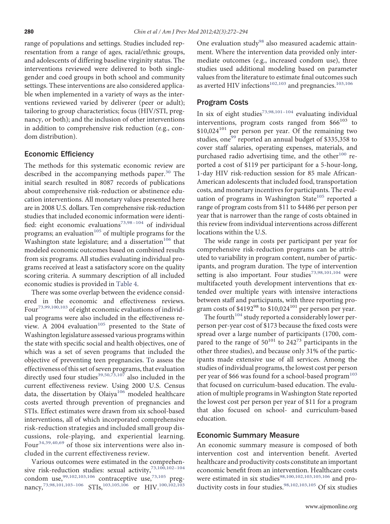range of populations and settings. Studies included representation from a range of ages, racial/ethnic groups, and adolescents of differing baseline virginity status. The interventions reviewed were delivered to both singlegender and coed groups in both school and community settings. These interventions are also considered applicable when implemented in a variety of ways as the interventions reviewed varied by deliverer (peer or adult); tailoring to group characteristics; focus (HIV/STI, pregnancy, or both); and the inclusion of other interventions in addition to comprehensive risk reduction (e.g., condom distribution).

# Economic Efficiency

The methods for this systematic economic review are described in the accompanying methods paper.<sup>[30](#page-19-16)</sup> The initial search resulted in 8087 records of publications about comprehensive risk-reduction or abstinence education interventions. All monetary values presented here are in 2008 U.S. dollars. Ten comprehensive risk-reduction studies that included economic information were identified: eight economic evaluations<sup>73,98-104</sup> of individual programs; an evaluation<sup>[105](#page-21-1)</sup> of multiple programs for the Washington state legislature; and a dissertation  $106$  that modeled economic outcomes based on combined results from six programs. All studies evaluating individual programs received at least a satisfactory score on the quality scoring criteria. A summary description of all included economic studies is provided in [Table 4.](#page-10-0)

There was some overlap between the evidence considered in the economic and effectiveness reviews.  $\mbox{Four}^{73,99,100,103}$  $\mbox{Four}^{73,99,100,103}$  $\mbox{Four}^{73,99,100,103}$  of eight economic evaluations of individual programs were also included in the effectiveness re-view. A 2004 evaluation<sup>[105](#page-21-1)</sup> presented to the State of Washington legislature assessed various programs within the state with specifıc social and health objectives, one of which was a set of seven programs that included the objective of preventing teen pregnancies. To assess the effectiveness of this set of seven programs, that evaluation directly used four studies<sup>[39,50,73,107](#page-19-22)</sup> also included in the current effectiveness review. Using 2000 U.S. Census data, the dissertation by Olaiya<sup>[106](#page-21-2)</sup> modeled healthcare costs averted through prevention of pregnancies and STIs. Effect estimates were drawn from six school-based interventions, all of which incorporated comprehensive risk-reduction strategies and included small group discussions, role-playing, and experiential learning. Four<sup>[34,39,40,69](#page-19-20)</sup> of those six interventions were also included in the current effectiveness review.

Various outcomes were estimated in the comprehensive risk-reduction studies: sexual activity, $^{73,100,102-104}$ condom use,  $99,102,103,106$  contraceptive use,  $73,105$  preg-nancy,<sup>[73,98,101,103–106](#page-20-3)</sup> STIs,<sup>[103,105,106](#page-21-4)</sup> or HIV.<sup>[100,102,103](#page-21-5)</sup>

One evaluation study $98$  also measured academic attainment. Where the intervention data provided only intermediate outcomes (e.g., increased condom use), three studies used additional modeling based on parameter values from the literature to estimate fınal outcomes such as averted HIV infections<sup>[102,103](#page-21-7)</sup> and pregnancies.<sup>[103,106](#page-21-4)</sup>

# Program Costs

In six of eight studies<sup>73,98,101-104</sup> evaluating individual interventions, program costs ranged from  $$66^{103}$$  to \$10,024<sup>101</sup> per person per year. Of the remaining two studies, one<sup>[99](#page-21-3)</sup> reported an annual budget of \$335,358 to cover staff salaries, operating expenses, materials, and purchased radio advertising time, and the other<sup>[100](#page-21-5)</sup> reported a cost of \$119 per participant for a 5-hour-long, 1-day HIV risk-reduction session for 85 male African-American adolescents that included food, transportation costs, and monetary incentives for participants. The eval-uation of programs in Washington State<sup>[105](#page-21-1)</sup> reported a range of program costs from \$11 to \$4486 per person per year that is narrower than the range of costs obtained in this review from individual interventions across different locations within the U.S.

The wide range in costs per participant per year for comprehensive risk-reduction programs can be attributed to variability in program content, number of participants, and program duration. The type of intervention setting is also important. Four studies<sup>[73,98,101,104](#page-20-3)</sup> were multifaceted youth development interventions that extended over multiple years with intensive interactions between staff and participants, with three reporting program costs of  $$4192^{98}$  to  $$10,024^{101}$  per person per year.

The fourth<sup>[104](#page-21-8)</sup> study reported a considerably lower perperson per-year cost of \$173 because the fıxed costs were spread over a large number of participants (1700, compared to the range of  $50^{101}$  to  $242^{73}$  participants in the other three studies), and because only 31% of the participants made extensive use of all services. Among the studies of individual programs, the lowest cost per person per year of \$66 was found for a school-based program<sup>[103](#page-21-4)</sup> that focused on curriculum-based education. The evaluation of multiple programs in Washington State reported the lowest cost per person per year of \$11 for a program that also focused on school- and curriculum-based education.

## Economic Summary Measure

An economic summary measure is composed of both intervention cost and intervention benefıt. Averted healthcare and productivity costs constitute an important economic benefıt from an intervention. Healthcare costs were estimated in six studies<sup>[98,100,102,103,105,106](#page-21-6)</sup> and pro-ductivity costs in four studies.<sup>[98,102,103,105](#page-21-6)</sup> Of six studies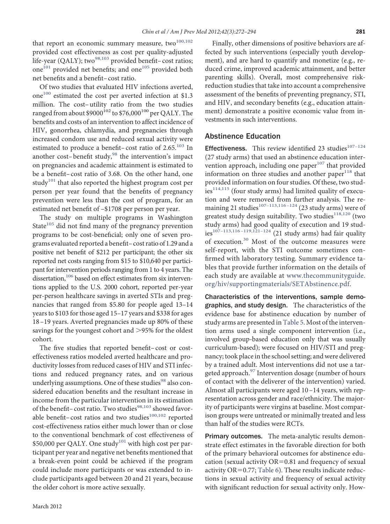that report an economic summary measure, two $100,102$ provided cost effectiveness as cost per quality-adjusted life-year (QALY); two<sup>[98,103](#page-21-6)</sup> provided benefit–cost ratios; one<sup>[101](#page-21-9)</sup> provided net benefits; and one<sup>[105](#page-21-1)</sup> provided both net benefıts and a benefıt– cost ratio.

Of two studies that evaluated HIV infections averted, one<sup>[100](#page-21-5)</sup> estimated the cost per averted infection at \$1.3 million. The cost– utility ratio from the two studies ranged from about  $$9000^{102}$  to  $$76,000^{100}$  per QALY. The benefıts and costs of an intervention to affect incidence of HIV, gonorrhea, chlamydia, and pregnancies through increased condom use and reduced sexual activity were estimated to produce a benefit-cost ratio of  $2.65.^{103}$  In another cost-benefit study, $98$  the intervention's impact on pregnancies and academic attainment is estimated to be a benefıt– cost ratio of 3.68. On the other hand, one study<sup>[101](#page-21-9)</sup> that also reported the highest program cost per person per year found that the benefıts of pregnancy prevention were less than the cost of program, for an estimated net benefıt of –\$1708 per person per year.

The study on multiple programs in Washington State $105$  did not find many of the pregnancy prevention programs to be cost-benefıcial; only one of seven programs evaluated reported a benefıt– cost ratio of 1.29 and a positive net benefıt of \$212 per participant; the other six reported net costs ranging from \$15 to \$10,640 per participant for intervention periods ranging from 1 to 4 years. The dissertation,<sup>106</sup> based on effect estimates from six interventions applied to the U.S. 2000 cohort, reported per-year per-person healthcare savings in averted STIs and pregnancies that ranged from \$5.80 for people aged 13–14 years to \$103 for those aged 15–17 years and \$338 for ages 18 –19 years. Averted pregnancies made up 80% of these savings for the youngest cohort and >95% for the oldest cohort.

The five studies that reported benefit-cost or costeffectiveness ratios modeled averted healthcare and productivity losses from reduced cases of HIV and STI infections and reduced pregnancy rates, and on various underlying assumptions. One of these studies<sup>[98](#page-21-6)</sup> also considered education benefıts and the resultant increase in income from the particular intervention in its estimation of the benefit-cost ratio. Two studies<sup>[98,103](#page-21-6)</sup> showed favorable benefit-cost ratios and two studies $100,102$  reported cost-effectiveness ratios either much lower than or close to the conventional benchmark of cost effectiveness of \$50,000 per QALY. One study<sup>[101](#page-21-9)</sup> with high cost per participant per year and negative net benefıts mentioned that a break-even point could be achieved if the program could include more participants or was extended to include participants aged between 20 and 21 years, because the older cohort is more active sexually.

Finally, other dimensions of positive behaviors are affected by such interventions (especially youth development), and are hard to quantify and monetize (e.g., reduced crime, improved academic attainment, and better parenting skills). Overall, most comprehensive riskreduction studies that take into account a comprehensive assessment of the benefıts of preventing pregnancy, STI, and HIV, and secondary benefıts (e.g., education attainment) demonstrate a positive economic value from investments in such interventions.

# Abstinence Education

**Effectiveness.** This review identified 23 studies<sup>107-124</sup> (27 study arms) that used an abstinence education intervention approach, including one paper $107$  that provided information on three studies and another paper $118$  that provided information on four studies. Of these, two stud- $\frac{1}{16}$  ies<sup>[114,115](#page-21-12)</sup> (four study arms) had limited quality of execution and were removed from further analysis. The remaining 21 studies<sup>107-113,116-124</sup> (23 study arms) were of greatest study design suitability. Two studies<sup>[118,120](#page-21-11)</sup> (two study arms) had good quality of execution and 19 studies<sup>107-113,116-119,121-124</sup> (21 study arms) had fair quality of execution.[30](#page-19-16) Most of the outcome measures were self-report, with the STI outcome sometimes confırmed with laboratory testing. Summary evidence tables that provide further information on the details of each study are available at [www.thecommunityguide.](http://www.thecommunityguide.org/hiv/supportingmaterials/SETAbstinence.pdf) [org/hiv/supportingmaterials/SETAbstinence.pdf.](http://www.thecommunityguide.org/hiv/supportingmaterials/SETAbstinence.pdf)

Characteristics of the interventions, sample demographics, and study design. The characteristics of the evidence base for abstinence education by number of study arms are presented in [Table 5.](#page-13-0) Most of the intervention arms used a single component intervention (i.e., involved group-based education only that was usually curriculum-based); were focused on HIV/STI and pregnancy; took place in the school setting; and were delivered by a trained adult. Most interventions did not use a tar-geted approach.<sup>[97](#page-21-0)</sup> Intervention dosage (number of hours of contact with the deliverer of the intervention) varied. Almost all participants were aged 10 –14 years, with representation across gender and race/ethnicity. The majority of participants were virgins at baseline. Most comparison groups were untreated or minimally treated and less than half of the studies were RCTs.

Primary outcomes. The meta-analytic results demonstrate effect estimates in the favorable direction for both of the primary behavioral outcomes for abstinence education (sexual activity OR=0.81 and frequency of sexual activity OR=0.77; [Table 6\)](#page-14-0). These results indicate reductions in sexual activity and frequency of sexual activity with signifıcant reduction for sexual activity only. How-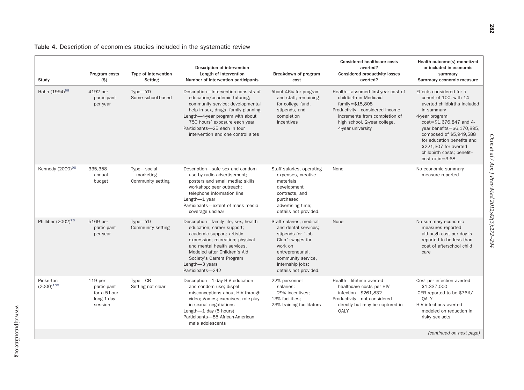#### Table 4. Description of economics studies included in the systematic review

<span id="page-10-0"></span>

| Study                       | Program costs<br>$($ \$)                                                    | Type of intervention<br>Setting               | Description of intervention<br>Length of intervention<br>Number of intervention participants                                                                                                                                                                                               | Breakdown of program<br>cost                                                                                                                                                               | <b>Considered healthcare costs</b><br>averted?<br><b>Considered productivity losses</b><br>averted?                                                                                                       | Health outcome(s) monetized<br>or included in economic<br>summary<br>Summary economic measure                                                                                                                                                                                                                            |
|-----------------------------|-----------------------------------------------------------------------------|-----------------------------------------------|--------------------------------------------------------------------------------------------------------------------------------------------------------------------------------------------------------------------------------------------------------------------------------------------|--------------------------------------------------------------------------------------------------------------------------------------------------------------------------------------------|-----------------------------------------------------------------------------------------------------------------------------------------------------------------------------------------------------------|--------------------------------------------------------------------------------------------------------------------------------------------------------------------------------------------------------------------------------------------------------------------------------------------------------------------------|
| Hahn (1994) <sup>98</sup>   | 4192 per<br>participant<br>per year                                         | Type-YD<br>Some school-based                  | Description-Intervention consists of<br>education/academic tutoring;<br>community service; developmental<br>help in sex, drugs, family planning<br>Length-4-year program with about<br>750 hours' exposure each year<br>Participants-25 each in four<br>intervention and one control sites | About 46% for program<br>and staff; remaining<br>for college fund,<br>stipends, and<br>completion<br>incentives                                                                            | Health-assumed first-year cost of<br>childbirth in Medicaid<br>$family = $15,808$<br>Productivity-considered income<br>increments from completion of<br>high school, 2-year college,<br>4-year university | Effects considered for a<br>cohort of 100, with 14<br>averted childbirths included<br>in summary<br>4-year program<br>$cost = $1,676,847$ and 4-<br>year benefits= $$6,170,895$ ,<br>composed of \$5,949,588<br>for education benefits and<br>\$221,307 for averted<br>childbirth costs: benefit-<br>$cost ratio = 3.68$ |
| Kennedy $(2000)^{99}$       | 335.358<br>annual<br>budget                                                 | Type-social<br>marketing<br>Community setting | Description-safe sex and condom<br>use by radio advertisement;<br>posters and small media; skills<br>workshop; peer outreach;<br>telephone information line<br>Length-1 year<br>Participants-extent of mass media<br>coverage unclear                                                      | Staff salaries, operating<br>expenses, creative<br>materials<br>development<br>contracts, and<br>purchased<br>advertising time;<br>details not provided.                                   | None                                                                                                                                                                                                      | No economic summary<br>measure reported                                                                                                                                                                                                                                                                                  |
| Philliber $(2002)^{73}$     | 5169 per<br>participant<br>per year                                         | Type-YD<br>Community setting                  | Description-family life, sex, health<br>education; career support;<br>academic support; artistic<br>expression; recreation; physical<br>and mental health services.<br>Modeled after Children's Aid<br>Society's Carrera Program<br>Length-3 years<br>Participants-242                     | Staff salaries, medical<br>and dental services:<br>stipends for "Job<br>Club"; wages for<br>work on<br>entrepreneurial,<br>community service,<br>internship jobs;<br>details not provided. | None                                                                                                                                                                                                      | No summary economic<br>measures reported<br>although cost per day is<br>reported to be less than<br>cost of afterschool child<br>care                                                                                                                                                                                    |
| Pinkerton<br>$(2000)^{100}$ | 119 <sub>per</sub><br>participant<br>for a 5-hour-<br>long 1-day<br>session | Type—CB<br>Setting not clear                  | Description-1-day HIV education<br>and condom use; dispel<br>misconceptions about HIV through<br>video; games; exercises; role-play<br>in sexual negotiations<br>Length-1 day (5 hours)<br>Participants-85 African-American<br>male adolescents                                            | 22% personnel<br>salaries:<br>29% incentives:<br>13% facilities;<br>23% training facilitators                                                                                              | Health-lifetime averted<br>healthcare costs per HIV<br>infection-\$261.832<br>Productivity-not considered<br>directly but may be captured in<br><b>QALY</b>                                               | Cost per infection averted-<br>\$1,337,000<br>ICER reported to be \$76K/<br><b>QALY</b><br>HIV infections averted<br>modeled on reduction in<br>risky sex acts                                                                                                                                                           |
|                             |                                                                             |                                               |                                                                                                                                                                                                                                                                                            |                                                                                                                                                                                            |                                                                                                                                                                                                           | (continued on next page)                                                                                                                                                                                                                                                                                                 |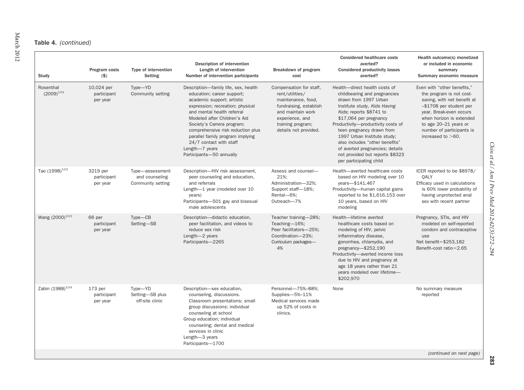#### Table 4. *(continued)*

| Study                       | Program costs<br>$($ \$)                      | Type of intervention<br><b>Setting</b>                 | Description of intervention<br>Length of intervention<br>Number of intervention participants                                                                                                                                                                                                                                                                                       | Breakdown of program<br>cost                                                                                                                                                     | <b>Considered healthcare costs</b><br>averted?<br><b>Considered productivity losses</b><br>averted?                                                                                                                                                                                                                                                                                                              | Health outcome(s) monetized<br>or included in economic<br>summary<br>Summary economic measure                                                                                                                                                          |
|-----------------------------|-----------------------------------------------|--------------------------------------------------------|------------------------------------------------------------------------------------------------------------------------------------------------------------------------------------------------------------------------------------------------------------------------------------------------------------------------------------------------------------------------------------|----------------------------------------------------------------------------------------------------------------------------------------------------------------------------------|------------------------------------------------------------------------------------------------------------------------------------------------------------------------------------------------------------------------------------------------------------------------------------------------------------------------------------------------------------------------------------------------------------------|--------------------------------------------------------------------------------------------------------------------------------------------------------------------------------------------------------------------------------------------------------|
| Rosenthal<br>$(2009)^{101}$ | 10,024 per<br>participant<br>per year         | Type-YD<br>Community setting                           | Description-family life, sex, health<br>education; career support;<br>academic support; artistic<br>expression; recreation; physical<br>and mental health referral<br>Modeled after Children's Aid<br>Society's Carrera program;<br>comprehensive risk reduction plus<br>parallel family program implying<br>24/7 contact with staff<br>Length-7 years<br>Participants-50 annually | Compensation for staff,<br>rent/utilities/<br>maintenance, food,<br>fundraising, establish<br>and maintain work<br>experience, and<br>training program;<br>details not provided. | Health-direct health costs of<br>childbearing and pregnancies<br>drawn from 1997 Urban<br>Institute study, Kids Having<br>Kids; reports \$8741 to<br>\$17,064 per pregnancy<br>Productivity-productivity costs of<br>teen pregnancy drawn from<br>1997 Urban Institute study;<br>also includes "other benefits"<br>of averted pregnancies; details<br>not provided but reports \$8323<br>per participating child | Even with "other benefits."<br>the program is not cost-<br>saving, with net benefit at<br>-\$1708 per student per<br>year. Break-even occurs<br>when horizon is extended<br>to age 20-21 years or<br>number of participants is<br>increased to $>60$ . |
| Tao (1998) <sup>102</sup>   | 3219 per<br>participant<br>per year           | Type-assessment<br>and counseling<br>Community setting | Description-HIV risk assessment,<br>peer counseling and education,<br>and referrals<br>Length-1 year (modeled over 10<br>years)<br>Participants-501 gay and bisexual<br>male adolescents                                                                                                                                                                                           | Assess and counsel-<br>21%:<br>Administration-32%;<br>Support staff-18%;<br>Rental-6%;<br>Outreach-7%                                                                            | Health-averted healthcare costs<br>based on HIV modeling over 10<br>years-\$141,467<br>Productivity-human capital gains<br>reported to be \$1,616,153 over<br>10 years, based on HIV<br>modeling                                                                                                                                                                                                                 | ICER reported to be \$8978/<br><b>QALY</b><br>Efficacy used in calculations<br>is 60% lower probability of<br>having unprotected anal<br>sex with recent partner                                                                                       |
| Wang (2000) <sup>103</sup>  | 66 per<br>participant<br>per year             | Type—CB<br>Setting-SB                                  | Description-didactic education,<br>peer facilitation, and videos to<br>reduce sex risk<br>Length-2 years<br>Participants-2265                                                                                                                                                                                                                                                      | Teacher training-28%;<br>Teaching-16%;<br>Peer facilitators-25%;<br>Coordination-23%;<br>Curriculum packages-<br>4%                                                              | Health-lifetime averted<br>healthcare costs based on<br>modeling of HIV, pelvic<br>inflammatory disease.<br>gonorrhea, chlamydia, and<br>pregnancy-\$252,190<br>Productivity-averted income loss<br>due to HIV and pregnancy at<br>age 18 years rather than 21<br>years modeled over lifetime-<br>\$202,970                                                                                                      | Pregnancy, STIs, and HIV<br>modeled on self-reported<br>condom and contraceptive<br>use<br>Net benefit= $$253,182$<br>Benefit-cost ratio=2.65                                                                                                          |
| Zabin (1988) <sup>104</sup> | 173 <sub>per</sub><br>participant<br>per year | Type-YD<br>Setting-SB plus<br>off-site clinic          | Description-sex education,<br>counseling, discussions.<br>Classroom presentations; small<br>group discussions; individual<br>counseling at school<br>Group education; individual<br>counseling; dental and medical<br>services in clinic<br>Length-3 years<br>Participants-1700                                                                                                    | Personnel-75%-88%:<br>Supplies-5%-11%<br>Medical services made<br>up 52% of costs in<br>clinics.                                                                                 | None                                                                                                                                                                                                                                                                                                                                                                                                             | No summary measure<br>reported                                                                                                                                                                                                                         |
|                             |                                               |                                                        |                                                                                                                                                                                                                                                                                                                                                                                    |                                                                                                                                                                                  |                                                                                                                                                                                                                                                                                                                                                                                                                  | (continued on next page)                                                                                                                                                                                                                               |

**283**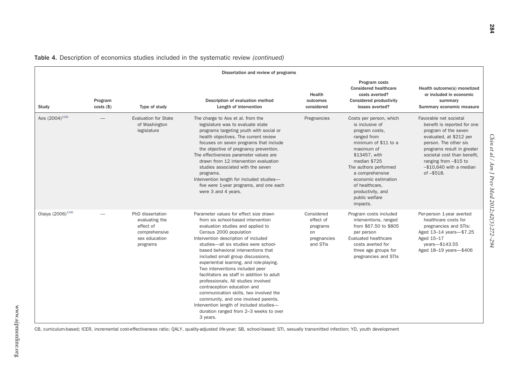|                              |                         |                                                                                               | Dissertation and review of programs                                                                                                                                                                                                                                                                                                                                                                                                                                                                                                                                                                                                                                                            |                                                                      |                                                                                                                                                                                                                                                                                            |                                                                                                                                                                                                                                                                     |
|------------------------------|-------------------------|-----------------------------------------------------------------------------------------------|------------------------------------------------------------------------------------------------------------------------------------------------------------------------------------------------------------------------------------------------------------------------------------------------------------------------------------------------------------------------------------------------------------------------------------------------------------------------------------------------------------------------------------------------------------------------------------------------------------------------------------------------------------------------------------------------|----------------------------------------------------------------------|--------------------------------------------------------------------------------------------------------------------------------------------------------------------------------------------------------------------------------------------------------------------------------------------|---------------------------------------------------------------------------------------------------------------------------------------------------------------------------------------------------------------------------------------------------------------------|
| Study                        | Program<br>$costs($ \$) | Type of study                                                                                 | Description of evaluation method<br>Length of intervention                                                                                                                                                                                                                                                                                                                                                                                                                                                                                                                                                                                                                                     | Health<br>outcomes<br>considered                                     | Program costs<br><b>Considered healthcare</b><br>costs averted?<br><b>Considered productivity</b><br>losses averted?                                                                                                                                                                       | Health outcome(s) monetized<br>or included in economic<br>summary<br>Summary economic measure                                                                                                                                                                       |
| Aos (2004) <sup>105</sup>    |                         | <b>Evaluation for State</b><br>of Washington<br>legislature                                   | The charge to Aos et al. from the<br>legislature was to evaluate state<br>programs targeting youth with social or<br>health objectives. The current review<br>focuses on seven programs that include<br>the objective of pregnancy prevention.<br>The effectiveness parameter values are<br>drawn from 12 intervention evaluation<br>studies associated with the seven<br>programs.<br>Intervention length for included studies-<br>five were 1-year programs, and one each<br>were 3 and 4 years.                                                                                                                                                                                             | Pregnancies                                                          | Costs per person, which<br>is inclusive of<br>program costs,<br>ranged from<br>minimum of \$11 to a<br>maximum of<br>\$13457. with<br>median \$725<br>The authors performed<br>a comprehensive<br>economic estimation<br>of healthcare,<br>productivity, and<br>public welfare<br>impacts. | Favorable net societal<br>benefit is reported for one<br>program of the seven<br>evaluated, at \$212 per<br>person. The other six<br>programs result in greater<br>societal cost than benefit.<br>ranging from -\$15 to<br>$-$10,640$ with a median<br>$of - $518.$ |
| Olaiya (2006) <sup>106</sup> |                         | PhD dissertation<br>evaluating the<br>effect of<br>comprehensive<br>sex education<br>programs | Parameter values for effect size drawn<br>from six school-based intervention<br>evaluation studies and applied to<br>Census 2000 population<br>Intervention description of included<br>studies-all six studies were school-<br>based behavioral interventions that<br>included small group discussions,<br>experiential learning, and role-playing.<br>Two interventions included peer<br>facilitators as staff in addition to adult<br>professionals. All studies involved<br>contraception education and<br>communication skills, two involved the<br>community, and one involved parents.<br>Intervention length of included studies-<br>duration ranged from 2-3 weeks to over<br>3 years. | Considered<br>effect of<br>programs<br>on<br>pregnancies<br>and STIs | Program costs included<br>interventions, ranged<br>from \$67.50 to \$805<br>per person<br>Evaluated healthcare<br>costs averted for<br>three age groups for<br>pregnancies and STIs                                                                                                        | Per-person 1-year averted<br>healthcare costs for<br>pregnancies and STIs:<br>Aged 13-14 years-\$7.25<br>Aged 15-17<br>years-\$143.55<br>Aged 18-19 years-\$406                                                                                                     |

### Table 4. Description of economics studies included in the systematic review *(continued)*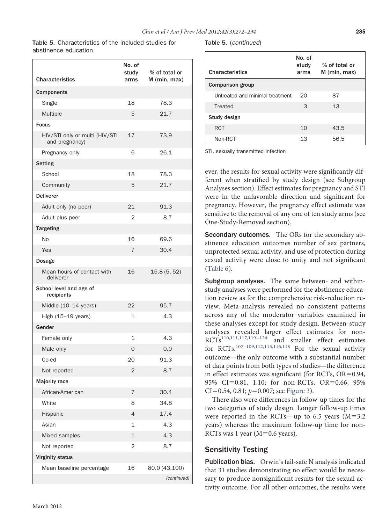<span id="page-13-0"></span>Table 5. Characteristics of the included studies for abstinence education

| <b>Characteristics</b>                           | No. of<br>studv<br>arms | % of total or<br>M (min, max) |
|--------------------------------------------------|-------------------------|-------------------------------|
| <b>Components</b>                                |                         |                               |
| Single                                           | 18                      | 78.3                          |
| Multiple                                         | 5                       | 21.7                          |
| <b>Focus</b>                                     |                         |                               |
| HIV/STI only or multi (HIV/STI<br>and pregnancy) | 17                      | 73.9                          |
| Pregnancy only                                   | 6                       | 26.1                          |
| <b>Setting</b>                                   |                         |                               |
| School                                           | 18                      | 78.3                          |
| Community                                        | 5                       | 21.7                          |
| <b>Deliverer</b>                                 |                         |                               |
| Adult only (no peer)                             | 21                      | 91.3                          |
| Adult plus peer                                  | $\overline{2}$          | 8.7                           |
| <b>Targeting</b>                                 |                         |                               |
| No                                               | 16                      | 69.6                          |
| Yes                                              | 7                       | 30.4                          |
| Dosage                                           |                         |                               |
| Mean hours of contact with<br>deliverer          | 16                      | 15.8(5, 52)                   |
| School level and age of<br>recipients            |                         |                               |
| Middle (10-14 years)                             | 22                      | 95.7                          |
| High (15-19 years)                               | 1                       | 4.3                           |
| Gender                                           |                         |                               |
| Female only                                      | 1                       | 4.3                           |
| Male only                                        | 0                       | 0.0                           |
| Co-ed                                            | 20                      | 91.3                          |
| Not reported                                     | $\overline{2}$          | 8.7                           |
| <b>Majority race</b>                             |                         |                               |
| African-American                                 | $\overline{7}$          | 30.4                          |
| <b>White</b>                                     | 8                       | 34.8                          |
| Hispanic                                         | $\overline{4}$          | 17.4                          |
| Asian                                            | $\mathbf 1$             | 4.3                           |
| Mixed samples                                    | $\mathbf{1}$            | 4.3                           |
| Not reported                                     | 2                       | 8.7                           |
| <b>Virginity status</b>                          |                         |                               |
| Mean baseline percentage                         | 16                      | 80.0 (43,100)                 |
|                                                  |                         | (continued)                   |

### Table 5. (*continued*)

| <b>Characteristics</b>          | No. of<br>study<br>arms | % of total or<br>$M$ (min, max) |
|---------------------------------|-------------------------|---------------------------------|
| <b>Comparison group</b>         |                         |                                 |
| Untreated and minimal treatment | 20                      | 87                              |
| Treated                         | 3                       | 13                              |
| Study design                    |                         |                                 |
| <b>RCT</b>                      | 10                      | 43.5                            |
| Non-RCT                         | 13                      | 56.5                            |

STI, sexually transmitted infection

ever, the results for sexual activity were signifıcantly different when stratifıed by study design (see Subgroup Analyses section). Effect estimates for pregnancy and STI were in the unfavorable direction and signifıcant for pregnancy. However, the pregnancy effect estimate was sensitive to the removal of any one of ten study arms (see One-Study-Removed section).

Secondary outcomes. The ORs for the secondary abstinence education outcomes number of sex partners, unprotected sexual activity, and use of protection during sexual activity were close to unity and not signifıcant [\(Table 6\)](#page-14-0).

Subgroup analyses. The same between- and withinstudy analyses were performed for the abstinence education review as for the comprehensive risk-reduction review. Meta-analysis revealed no consistent patterns across any of the moderator variables examined in these analyses except for study design. Between-study analyses revealed larger effect estimates for non- $\text{RCTs}^{110,111,117,119-124}$  and smaller effect estimates for RCTs.<sup>[107–109,112,113,116,118](#page-21-10)</sup> For the sexual activity outcome—the only outcome with a substantial number of data points from both types of studies—the difference in effect estimates was significant (for RCTs, OR=0.94, 95% CI=0.81, 1.10; for non-RCTs, OR=0.66, 95% CI=0.54, 0.81; *p*=0.007; see [Figure 3\)](#page-15-0).

There also were differences in follow-up times for the two categories of study design. Longer follow-up times were reported in the  $\text{RCTs}$ —up to 6.5 years (M=3.2) years) whereas the maximum follow-up time for non-RCTs was 1 year (M=0.6 years).

# Sensitivity Testing

Publication bias. Orwin's fail-safe N analysis indicated that 31 studies demonstrating no effect would be necessary to produce nonsignifıcant results for the sexual activity outcome. For all other outcomes, the results were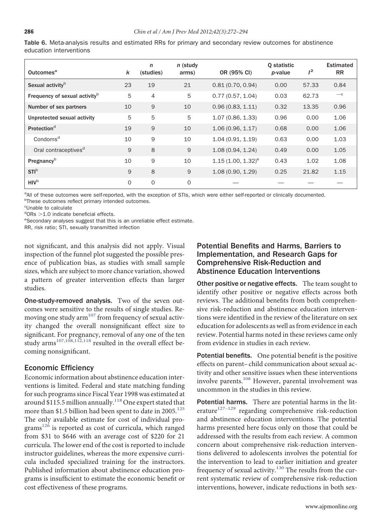<span id="page-14-0"></span>Table 6. Meta-analysis results and estimated RRs for primary and secondary review outcomes for abstinence education interventions

| Outcomes <sup>a</sup>                     | k        | n<br>(studies) | n (study<br>arms) | OR (95% CI)          | Q statistic<br>p-value | $l^2$ | <b>Estimated</b><br><b>RR</b> |
|-------------------------------------------|----------|----------------|-------------------|----------------------|------------------------|-------|-------------------------------|
| Sexual activity <sup>b</sup>              | 23       | 19             | 21                | 0.81(0.70, 0.94)     | 0.00                   | 57.33 | 0.84                          |
| Frequency of sexual activity <sup>b</sup> | 5        | $\overline{4}$ | 5                 | 0.77(0.57, 1.04)     | 0.03                   | 62.73 | $-c$                          |
| Number of sex partners                    | 10       | 9              | 10                | 0.96(0.83, 1.11)     | 0.32                   | 13.35 | 0.96                          |
| Unprotected sexual activity               | 5        | 5              | 5                 | 1.07(0.86, 1.33)     | 0.96                   | 0.00  | 1.06                          |
| Protection <sup>d</sup>                   | 19       | 9              | 10                | 1.06(0.96, 1.17)     | 0.68                   | 0.00  | 1.06                          |
| Condoms <sup>d</sup>                      | 10       | 9              | 10                | 1.04(0.91, 1.19)     | 0.63                   | 0.00  | 1.03                          |
| Oral contraceptives <sup>d</sup>          | 9        | 8              | 9                 | 1.08(0.94, 1.24)     | 0.49                   | 0.00  | 1.05                          |
| Pregnancy <sup>b</sup>                    | 10       | 9              | 10                | $1.15(1.00, 1.32)^e$ | 0.43                   | 1.02  | 1.08                          |
| <b>STI</b> b                              | 9        | 8              | 9                 | 1.08(0.90, 1.29)     | 0.25                   | 21.82 | 1.15                          |
| HIV <sup>b</sup>                          | $\Omega$ | $\Omega$       | $\Omega$          |                      |                        |       |                               |

aAll of these outcomes were self-reported, with the exception of STIs, which were either self-reported or clinically documented. <sup>b</sup>These outcomes reflect primary intended outcomes.

<sup>c</sup>Unable to calculate

 $\frac{d}{d}$ ORs  $>$ 1.0 indicate beneficial effects.

Secondary analyses suggest that this is an unreliable effect estimate.

RR, risk ratio; STI, sexually transmitted infection

not signifıcant, and this analysis did not apply. Visual inspection of the funnel plot suggested the possible presence of publication bias, as studies with small sample sizes, which are subject to more chance variation, showed a pattern of greater intervention effects than larger studies.

One-study-removed analysis. Two of the seven outcomes were sensitive to the results of single studies. Re-moving one study arm<sup>[107](#page-21-10)</sup> from frequency of sexual activity changed the overall nonsignifıcant effect size to signifıcant. For pregnancy, removal of any one of the ten study  $\arccos 107,108,112,118$  $\arccos 107,108,112,118$  resulted in the overall effect becoming nonsignifıcant.

# Economic Efficiency

Economic information about abstinence education interventions is limited. Federal and state matching funding for such programs since Fiscal Year 1998 was estimated at around \$115.5 million annually.<sup>[118](#page-21-11)</sup> One expert stated that more than \$1.5 billion had been spent to date in  $2005$ .<sup>[125](#page-21-23)</sup> The only available estimate for cost of individual pro- $grams^{126}$  $grams^{126}$  $grams^{126}$  is reported as cost of curricula, which ranged from \$31 to \$646 with an average cost of \$220 for 21 curricula. The lower end of the cost is reported to include instructor guidelines, whereas the more expensive curricula included specialized training for the instructors. Published information about abstinence education programs is insuffıcient to estimate the economic benefıt or cost effectiveness of these programs.

# Potential Benefits and Harms, Barriers to Implementation, and Research Gaps for Comprehensive Risk-Reduction and Abstinence Education Interventions

Other positive or negative effects. The team sought to identify other positive or negative effects across both reviews. The additional benefıts from both comprehensive risk-reduction and abstinence education interventions were identifıed in the review of the literature on sex education for adolescents as well as from evidence in each review. Potential harms noted in these reviews came only from evidence in studies in each review.

Potential benefits. One potential benefit is the positive effects on parent– child communication about sexual activity and other sensitive issues when these interventions involve parents.[108](#page-21-25) However, parental involvement was uncommon in the studies in this review.

Potential harms. There are potential harms in the lit- $\operatorname{erature}^{127-129}$  regarding comprehensive risk-reduction and abstinence education interventions. The potential harms presented here focus only on those that could be addressed with the results from each review. A common concern about comprehensive risk-reduction interventions delivered to adolescents involves the potential for the intervention to lead to earlier initiation and greater frequency of sexual activity.[130](#page-21-27) The results from the current systematic review of comprehensive risk-reduction interventions, however, indicate reductions in both sex-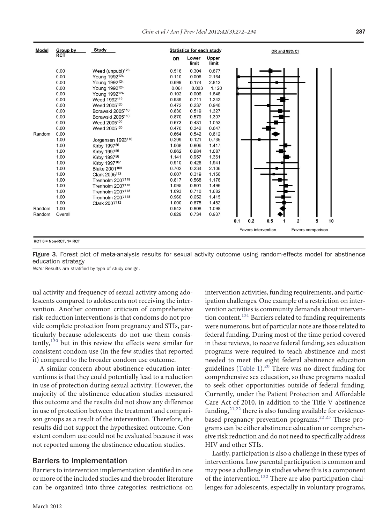| Random | Group by<br>RCT<br>0.00<br>0.00<br>0.00<br>0.00<br>0.00<br>0.00<br>0.00<br>0.00<br>0.00<br>0.00 | Weed (unpubl) <sup>123</sup><br>Young 1992124<br>Young 1992124<br>Young 1992124<br>Young 1992124<br>Weed 1992119<br>Weed 2005120<br>Borawski 2005110 | OR<br>0.516<br>0.110<br>0.699<br>0.061<br>0.102<br>0.939<br>0.472 | Lower<br>limit<br>0.304<br>0.006<br>0.174<br>0.003<br>0.006 | Upper<br>limit<br>0.877<br>2.164<br>2.812<br>1.120 |            |                     |                   |         |
|--------|-------------------------------------------------------------------------------------------------|------------------------------------------------------------------------------------------------------------------------------------------------------|-------------------------------------------------------------------|-------------------------------------------------------------|----------------------------------------------------|------------|---------------------|-------------------|---------|
|        |                                                                                                 |                                                                                                                                                      |                                                                   |                                                             |                                                    |            |                     |                   |         |
|        |                                                                                                 |                                                                                                                                                      |                                                                   |                                                             |                                                    |            |                     |                   |         |
|        |                                                                                                 |                                                                                                                                                      |                                                                   |                                                             |                                                    |            |                     |                   |         |
|        |                                                                                                 |                                                                                                                                                      |                                                                   |                                                             |                                                    |            |                     |                   |         |
|        |                                                                                                 |                                                                                                                                                      |                                                                   |                                                             |                                                    |            |                     |                   |         |
|        |                                                                                                 |                                                                                                                                                      |                                                                   |                                                             | 1.848                                              |            |                     |                   |         |
|        |                                                                                                 |                                                                                                                                                      |                                                                   | 0.711                                                       | 1.242                                              |            |                     |                   |         |
|        |                                                                                                 |                                                                                                                                                      |                                                                   | 0.237                                                       | 0.940                                              |            |                     |                   |         |
|        |                                                                                                 |                                                                                                                                                      | 0.830                                                             | 0.519                                                       | 1.327                                              |            |                     |                   |         |
|        |                                                                                                 | Borawski 2005110                                                                                                                                     | 0.870                                                             | 0.579                                                       | 1.307                                              |            |                     |                   |         |
|        |                                                                                                 | Weed 2005122                                                                                                                                         | 0.673                                                             | 0.431                                                       | 1.053                                              |            |                     |                   |         |
|        | 0.00                                                                                            | Weed 2005120                                                                                                                                         | 0.470                                                             | 0.342                                                       | 0.647                                              |            |                     |                   |         |
|        | 0.00                                                                                            |                                                                                                                                                      | 0.664                                                             | 0.542                                                       | 0.812                                              |            |                     |                   |         |
|        | 1.00                                                                                            | Jorgensen 1993 <sup>116</sup>                                                                                                                        | 0.299                                                             | 0.121                                                       | 0.735                                              |            |                     |                   |         |
|        | 1.00                                                                                            | Kirby 1997 <sup>56</sup>                                                                                                                             | 1.068                                                             | 0.806                                                       | 1.417                                              |            |                     |                   |         |
|        | 1.00                                                                                            | Kirby 199756                                                                                                                                         | 0.862                                                             | 0.684                                                       | 1.087                                              |            |                     |                   |         |
|        | 1.00                                                                                            | Kirby 199756                                                                                                                                         | 1.141                                                             | 0.957                                                       | 1.361                                              |            |                     |                   |         |
|        | 1.00                                                                                            | Kirby 1997107                                                                                                                                        | 0.910                                                             | 0.426                                                       | 1.941                                              |            |                     |                   |         |
|        | 1.00                                                                                            | Blake 2001109                                                                                                                                        | 0.702                                                             | 0.234                                                       | 2.106                                              |            |                     |                   |         |
|        | 1.00                                                                                            | Clark 2005113                                                                                                                                        | 0.607                                                             | 0.319                                                       | 1.156                                              |            |                     |                   |         |
|        | 1.00                                                                                            | Trenholm 2007118                                                                                                                                     | 0.817                                                             | 0.568                                                       | 1.176                                              |            |                     |                   |         |
|        | 1.00                                                                                            | Trenholm 2007118                                                                                                                                     | 1.095                                                             | 0.801                                                       | 1.496                                              |            |                     |                   |         |
|        | 1.00                                                                                            | Trenholm 2007 <sup>118</sup>                                                                                                                         | 1.093                                                             | 0.710                                                       | 1.682                                              |            |                     |                   |         |
|        | 1.00                                                                                            | Trenholm 2007118                                                                                                                                     | 0.960                                                             | 0.652                                                       | 1.415                                              |            |                     |                   |         |
|        | 1.00                                                                                            | Clark 2007112                                                                                                                                        | 1.000                                                             | 0.675                                                       | 1.482                                              |            |                     |                   |         |
| Random | 1.00                                                                                            |                                                                                                                                                      | 0.942                                                             | 0.808                                                       | 1.098                                              |            |                     |                   |         |
| Random | Overall                                                                                         |                                                                                                                                                      | 0.829                                                             | 0.734                                                       | 0.937                                              |            |                     |                   |         |
|        |                                                                                                 |                                                                                                                                                      |                                                                   |                                                             |                                                    | 0.2<br>0.1 | 0.5                 | $\overline{2}$    | 10<br>5 |
|        |                                                                                                 |                                                                                                                                                      |                                                                   |                                                             |                                                    |            | Favors intervention | Favors comparison |         |
|        |                                                                                                 |                                                                                                                                                      |                                                                   |                                                             |                                                    |            |                     |                   |         |

<span id="page-15-0"></span>Figure 3. Forest plot of meta-analysis results for sexual activity outcome using random-effects model for abstinence education strategy

*Note:* Results are stratified by type of study design.

ual activity and frequency of sexual activity among adolescents compared to adolescents not receiving the intervention. Another common criticism of comprehensive risk-reduction interventions is that condoms do not provide complete protection from pregnancy and STIs, particularly because adolescents do not use them consistently,  $130$  but in this review the effects were similar for consistent condom use (in the few studies that reported it) compared to the broader condom use outcome.

A similar concern about abstinence education interventions is that they could potentially lead to a reduction in use of protection during sexual activity. However, the majority of the abstinence education studies measured this outcome and the results did not show any difference in use of protection between the treatment and comparison groups as a result of the intervention. Therefore, the results did not support the hypothesized outcome. Consistent condom use could not be evaluated because it was not reported among the abstinence education studies.

## Barriers to Implementation

Barriers to intervention implementation identifıed in one or more of the included studies and the broader literature can be organized into three categories: restrictions on

intervention activities, funding requirements, and participation challenges. One example of a restriction on intervention activities is community demands about interven-tion content.<sup>[131](#page-21-28)</sup> Barriers related to funding requirements were numerous, but of particular note are those related to federal funding. During most of the time period covered in these reviews, to receive federal funding, sex education programs were required to teach abstinence and most needed to meet the eight federal abstinence education guidelines [\(Table 1\)](#page-2-0). $^{20}$  There was no direct funding for comprehensive sex education, so these programs needed to seek other opportunities outside of federal funding. Currently, under the Patient Protection and Affordable Care Act of 2010, in addition to the Title V abstinence funding, $2^{1,22}$  there is also funding available for evidence-based pregnancy prevention programs.<sup>[22,23](#page-19-10)</sup> These programs can be either abstinence education or comprehensive risk reduction and do not need to specifıcally address HIV and other STIs.

Lastly, participation is also a challenge in these types of interventions. Low parental participation is common and may pose a challenge in studies where this is a component of the intervention.[132](#page-21-29) There are also participation challenges for adolescents, especially in voluntary programs,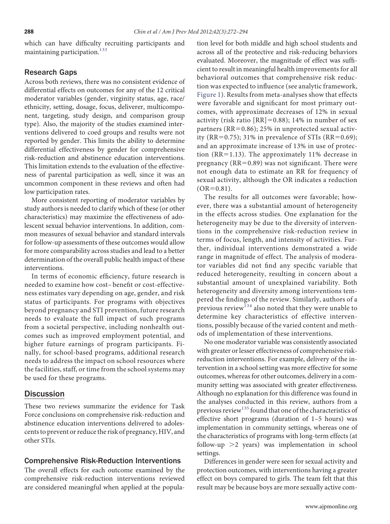which can have diffıculty recruiting participants and maintaining participation.<sup>[133](#page-22-0)</sup>

# Research Gaps

Across both reviews, there was no consistent evidence of differential effects on outcomes for any of the 12 critical moderator variables (gender, virginity status, age, race/ ethnicity, setting, dosage, focus, deliverer, multicomponent, targeting, study design, and comparison group type). Also, the majority of the studies examined interventions delivered to coed groups and results were not reported by gender. This limits the ability to determine differential effectiveness by gender for comprehensive risk-reduction and abstinence education interventions. This limitation extends to the evaluation of the effectiveness of parental participation as well, since it was an uncommon component in these reviews and often had low participation rates.

More consistent reporting of moderator variables by study authors is needed to clarify which of these (or other characteristics) may maximize the effectiveness of adolescent sexual behavior interventions. In addition, common measures of sexual behavior and standard intervals for follow-up assessments of these outcomes would allow for more comparability across studies and lead to a better determination of the overall public health impact of these interventions.

In terms of economic effıciency, future research is needed to examine how cost– benefıt or cost-effectiveness estimates vary depending on age, gender, and risk status of participants. For programs with objectives beyond pregnancy and STI prevention, future research needs to evaluate the full impact of such programs from a societal perspective, including nonhealth outcomes such as improved employment potential, and higher future earnings of program participants. Finally, for school-based programs, additional research needs to address the impact on school resources where the facilities, staff, or time from the school systems may be used for these programs.

# **Discussion**

These two reviews summarize the evidence for Task Force conclusions on comprehensive risk-reduction and abstinence education interventions delivered to adolescents to prevent or reduce the risk of pregnancy, HIV, and other STIs.

# Comprehensive Risk-Reduction Interventions

The overall effects for each outcome examined by the comprehensive risk-reduction interventions reviewed are considered meaningful when applied at the popula-

tion level for both middle and high school students and across all of the protective and risk-reducing behaviors evaluated. Moreover, the magnitude of effect was suffıcient to result in meaningful health improvements for all behavioral outcomes that comprehensive risk reduction was expected to influence (see analytic framework, [Figure 1\)](#page-4-0). Results from meta-analyses show that effects were favorable and signifıcant for most primary outcomes, with approximate decreases of 12% in sexual activity (risk ratio [RR]-0.88); 14% in number of sex partners (RR-0.86); 25% in unprotected sexual activity (RR-0.75); 31% in prevalence of STIs (RR-0.69); and an approximate increase of 13% in use of protection (RR=1.13). The approximately 11% decrease in pregnancy (RR-0.89) was not signifıcant. There were not enough data to estimate an RR for frequency of sexual activity, although the OR indicates a reduction  $(OR = 0.81).$ 

The results for all outcomes were favorable; however, there was a substantial amount of heterogeneity in the effects across studies. One explanation for the heterogeneity may be due to the diversity of interventions in the comprehensive risk-reduction review in terms of focus, length, and intensity of activities. Further, individual interventions demonstrated a wide range in magnitude of effect. The analysis of moderator variables did not fınd any specifıc variable that reduced heterogeneity, resulting in concern about a substantial amount of unexplained variability. Both heterogeneity and diversity among interventions tempered the fındings of the review. Similarly, authors of a previous review<sup>[134](#page-22-1)</sup> also noted that they were unable to determine key characteristics of effective interventions, possibly because of the varied content and methods of implementation of these interventions.

No one moderator variable was consistently associated with greater or lesser effectiveness of comprehensive riskreduction interventions. For example, delivery of the intervention in a school setting was more effective for some outcomes, whereas for other outcomes, delivery in a community setting was associated with greater effectiveness. Although no explanation for this difference was found in the analyses conducted in this review, authors from a previous review<sup>[135](#page-22-2)</sup> found that one of the characteristics of effective short programs (duration of 1–5 hours) was implementation in community settings, whereas one of the characteristics of programs with long-term effects (at follow-up  $>2$  years) was implementation in school settings.

Differences in gender were seen for sexual activity and protection outcomes, with interventions having a greater effect on boys compared to girls. The team felt that this result may be because boys are more sexually active com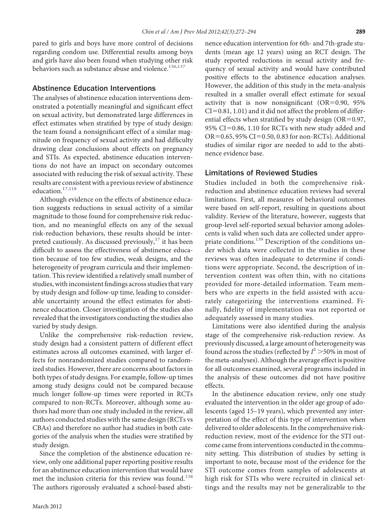pared to girls and boys have more control of decisions regarding condom use. Differential results among boys and girls have also been found when studying other risk behaviors such as substance abuse and violence.<sup>[136,137](#page-22-3)</sup>

### Abstinence Education Interventions

The analyses of abstinence education interventions demonstrated a potentially meaningful and signifıcant effect on sexual activity, but demonstrated large differences in effect estimates when stratifıed by type of study design: the team found a nonsignifıcant effect of a similar magnitude on frequency of sexual activity and had diffıculty drawing clear conclusions about effects on pregnancy and STIs. As expected, abstinence education interventions do not have an impact on secondary outcomes associated with reducing the risk of sexual activity. These results are consistent with a previous review of abstinence education.<sup>[17,118](#page-19-7)</sup>

Although evidence on the effects of abstinence education suggests reductions in sexual activity of a similar magnitude to those found for comprehensive risk reduction, and no meaningful effects on any of the sexual risk-reduction behaviors, these results should be interpreted cautiously. As discussed previously, $17$  it has been diffıcult to assess the effectiveness of abstinence education because of too few studies, weak designs, and the heterogeneity of program curricula and their implementation. This review identifıed a relatively small number of studies, with inconsistent fındings across studies that vary by study design and follow-up time, leading to considerable uncertainty around the effect estimates for abstinence education. Closer investigation of the studies also revealed that the investigators conducting the studies also varied by study design.

Unlike the comprehensive risk-reduction review, study design had a consistent pattern of different effect estimates across all outcomes examined, with larger effects for nonrandomized studies compared to randomized studies. However, there are concerns about factors in both types of study designs. For example, follow-up times among study designs could not be compared because much longer follow-up times were reported in RCTs compared to non-RCTs. Moreover, although some authors had more than one study included in the review, all authors conducted studies with the same design (RCTs vs CBAs) and therefore no author had studies in both categories of the analysis when the studies were stratifıed by study design.

Since the completion of the abstinence education review, only one additional paper reporting positive results for an abstinence education intervention that would have met the inclusion criteria for this review was found.<sup>138</sup> The authors rigorously evaluated a school-based abstinence education intervention for 6th- and 7th-grade students (mean age 12 years) using an RCT design. The study reported reductions in sexual activity and frequency of sexual activity and would have contributed positive effects to the abstinence education analyses. However, the addition of this study in the meta-analysis resulted in a smaller overall effect estimate for sexual activity that is now nonsignificant (OR=0.90, 95%  $CI = 0.81, 1.01$  and it did not affect the problem of differential effects when stratified by study design ( $OR = 0.97$ , 95% CI=0.86, 1.10 for RCTs with new study added and OR=0.65, 95% CI=0.50, 0.83 for non-RCTs). Additional studies of similar rigor are needed to add to the abstinence evidence base.

### Limitations of Reviewed Studies

Studies included in both the comprehensive riskreduction and abstinence education reviews had several limitations. First, all measures of behavioral outcomes were based on self-report, resulting in questions about validity. Review of the literature, however, suggests that group-level self-reported sexual behavior among adolescents is valid when such data are collected under appro-priate conditions.<sup>[139](#page-22-5)</sup> Description of the conditions under which data were collected in the studies in these reviews was often inadequate to determine if conditions were appropriate. Second, the description of intervention content was often thin, with no citations provided for more-detailed information. Team members who are experts in the fıeld assisted with accurately categorizing the interventions examined. Finally, fıdelity of implementation was not reported or adequately assessed in many studies.

Limitations were also identifıed during the analysis stage of the comprehensive risk-reduction review. As previously discussed, a large amount of heterogeneity was found across the studies (reflected by  $I^2 > 50\%$  in most of the meta-analyses). Although the average effect is positive for all outcomes examined, several programs included in the analysis of these outcomes did not have positive effects.

In the abstinence education review, only one study evaluated the intervention in the older age group of adolescents (aged 15–19 years), which prevented any interpretation of the effect of this type of intervention when delivered to older adolescents. In the comprehensive riskreduction review, most of the evidence for the STI outcome came from interventions conducted in the community setting. This distribution of studies by setting is important to note, because most of the evidence for the STI outcome comes from samples of adolescents at high risk for STIs who were recruited in clinical settings and the results may not be generalizable to the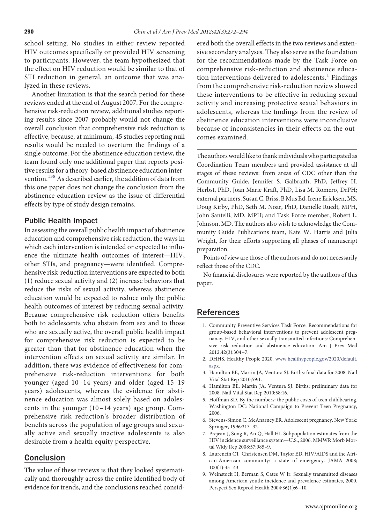school setting. No studies in either review reported HIV outcomes specifıcally or provided HIV screening to participants. However, the team hypothesized that the effect on HIV reduction would be similar to that of STI reduction in general, an outcome that was analyzed in these reviews.

Another limitation is that the search period for these reviews ended at the end of August 2007. For the comprehensive risk-reduction review, additional studies reporting results since 2007 probably would not change the overall conclusion that comprehensive risk reduction is effective, because, at minimum, 45 studies reporting null results would be needed to overturn the fındings of a single outcome. For the abstinence education review, the team found only one additional paper that reports positive results for a theory-based abstinence education inter-vention.<sup>[138](#page-22-4)</sup> As described earlier, the addition of data from this one paper does not change the conclusion from the abstinence education review as the issue of differential effects by type of study design remains.

## Public Health Impact

In assessing the overall public health impact of abstinence education and comprehensive risk reduction, the ways in which each intervention is intended or expected to influence the ultimate health outcomes of interest—HIV, other STIs, and pregnancy—were identifıed. Comprehensive risk-reduction interventions are expected to both (1) reduce sexual activity and (2) increase behaviors that reduce the risks of sexual activity, whereas abstinence education would be expected to reduce only the public health outcomes of interest by reducing sexual activity. Because comprehensive risk reduction offers benefıts both to adolescents who abstain from sex and to those who are sexually active, the overall public health impact for comprehensive risk reduction is expected to be greater than that for abstinence education when the intervention effects on sexual activity are similar. In addition, there was evidence of effectiveness for comprehensive risk-reduction interventions for both younger (aged 10 –14 years) and older (aged 15–19 years) adolescents, whereas the evidence for abstinence education was almost solely based on adolescents in the younger (10 –14 years) age group. Comprehensive risk reduction's broader distribution of benefıts across the population of age groups and sexually active and sexually inactive adolescents is also desirable from a health equity perspective.

# Conclusion

The value of these reviews is that they looked systematically and thoroughly across the entire identifıed body of evidence for trends, and the conclusions reached considered both the overall effects in the two reviews and extensive secondary analyses. They also serve as the foundation for the recommendations made by the Task Force on comprehensive risk-reduction and abstinence educa-tion interventions delivered to adolescents.<sup>[1](#page-18-0)</sup> Findings from the comprehensive risk-reduction review showed these interventions to be effective in reducing sexual activity and increasing protective sexual behaviors in adolescents, whereas the fındings from the review of abstinence education interventions were inconclusive because of inconsistencies in their effects on the outcomes examined.

The authors would like to thank individuals who participated as Coordination Team members and provided assistance at all stages of these reviews: from areas of CDC other than the Community Guide, Jennifer S. Galbraith, PhD, Jeffrey H. Herbst, PhD, Joan Marie Kraft, PhD, Lisa M. Romero, DrPH; external partners, Susan C. Briss, B Mus Ed, Irene Ericksen, MS, Doug Kirby, PhD, Seth M. Noar, PhD, Danielle Ruedt, MPH, John Santelli, MD, MPH; and Task Force member, Robert L. Johnson, MD. The authors also wish to acknowledge the Community Guide Publications team, Kate W. Harris and Julia Wright, for their efforts supporting all phases of manuscript preparation.

Points of view are those of the authors and do not necessarily reflect those of the CDC.

No fınancial disclosures were reported by the authors of this paper.

# <span id="page-18-0"></span>References

- 1. Community Preventive Services Task Force. Recommendations for group-based behavioral interventions to prevent adolescent pregnancy, HIV, and other sexually transmitted infections: Comprehensive risk reduction and abstinence education. Am J Prev Med 2012;42(3):304 –7.
- <span id="page-18-2"></span><span id="page-18-1"></span>2. DHHS. Healthy People 2020. [www.healthypeople.gov/2020/default.](http://www.healthypeople.gov/2020/default.aspx) [aspx.](http://www.healthypeople.gov/2020/default.aspx)
- 3. Hamilton BE, Martin JA, Ventura SJ. Births: fınal data for 2008. Natl Vital Stat Rep 2010;59:1.
- <span id="page-18-3"></span>4. Hamilton BE, Martin JA, Ventura SJ. Births: preliminary data for 2008. Natl Vital Stat Rep 2010;58:16.
- <span id="page-18-4"></span>5. Hoffman SD. By the numbers: the public costs of teen childbearing. Washington DC: National Campaign to Prevent Teen Pregnancy, 2006.
- <span id="page-18-5"></span>6. Stevens-Simon C, McAnarney ER. Adolescent pregnancy. New York: Springer, 1996:313–32.
- 7. Prejean J, Song R, An Q, Hall HI. Subpopulation estimates from the HIV incidence surveillance system—U.S., 2006. MMWR Morb Mortal Wkly Rep 2008;57:985–9.
- <span id="page-18-7"></span><span id="page-18-6"></span>8. Laurencin CT, Christensen DM, Taylor ED. HIV/AIDS and the African-American community: a state of emergency. JAMA 2008; 100(1):35–43.
- 9. Weinstock H, Berman S, Cates W Jr. Sexually transmitted diseases among American youth: incidence and prevalence estimates, 2000. Perspect Sex Reprod Health 2004;36(1):6 –10.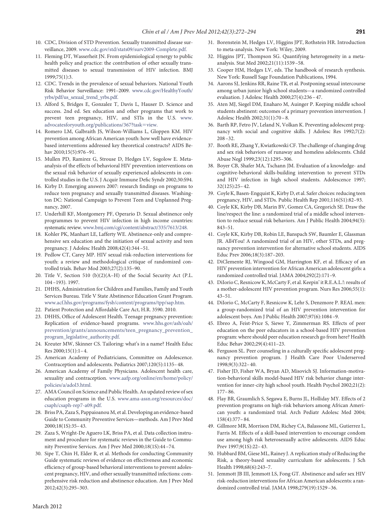- <span id="page-19-0"></span>10. CDC, Division of STD Prevention. Sexually transmitted disease surveillance, 2009. [www.cdc.gov/std/stats09/surv2009-Complete.pdf.](http://www.cdc.gov/std/stats09/surv2009-Complete.pdf)
- <span id="page-19-1"></span>11. Fleming DT, Wasserheit JN. From epidemiological synergy to public health policy and practice: the contribution of other sexually transmitted diseases to sexual transmission of HIV infection. BMJ 1999;75(1):3.
- <span id="page-19-2"></span>12. CDC. Trends in the prevalence of sexual behaviors. National Youth Risk Behavior Surveillance: 1991–2009. [www.cdc.gov/HealthyYouth/](http://www.cdc.gov/HealthyYouth/yrbs/pdf/us_sexual_trend_yrbs.pdf) [yrbs/pdf/us\\_sexual\\_trend\\_yrbs.pdf.](http://www.cdc.gov/HealthyYouth/yrbs/pdf/us_sexual_trend_yrbs.pdf)
- <span id="page-19-3"></span>13. Alford S, Bridges E, Gonzalez T, Davis L, Hauser D. Science and success. 2nd ed. Sex education and other programs that work to prevent teen pregnancy, HIV, and STIs in the U.S. [www.](http://www.advocatesforyouth.org/publications/367?task=view) [advocatesforyouth.org/publications/367?task](http://www.advocatesforyouth.org/publications/367?task=view)=view.
- <span id="page-19-4"></span>14. Romero LM, Galbraith JS, Wilson-Williams L, Gloppen KM. HIV prevention among African American youth: how well have evidencebased interventions addressed key theoretical constructs? AIDS Behav 2010;15(5):976-91.
- <span id="page-19-5"></span>15. Mullen PD, Ramirez G, Strouse D, Hedges LV, Sogolow E. Metaanalysis of the effects of behavioral HIV prevention interventions on the sexual risk behavior of sexually experienced adolescents in controlled studies in the U.S. J Acquir Immune Defıc Syndr 2002;30:S94.
- <span id="page-19-6"></span>16. Kirby D. Emerging answers 2007: research fındings on programs to reduce teen pregnancy and sexually transmitted diseases. Washington DC: National Campaign to Prevent Teen and Unplanned Pregnancy, 2007.
- <span id="page-19-7"></span>17. Underhill KF, Montgomery PF, Operario D. Sexual abstinence only programmes to prevent HIV infection in high income countries: systematic review. [www.bmj.com/cgi/content/abstract/335/7613/248.](http://www.bmj.com/cgi/content/abstract/335/7613/248)
- 18. Kohler PK, Manhart LE, Lafferty WE. Abstinence-only and comprehensive sex education and the initiation of sexual activity and teen pregnancy. J Adolesc Health 2008;42(4):344 –51.
- 19. Pedlow CT, Carey MP. HIV sexual risk-reduction interventions for youth: a review and methodological critique of randomized controlled trials. Behav Mod 2003;27(2):135–90.
- <span id="page-19-9"></span><span id="page-19-8"></span>20. Title V, Section 510 (b)(2)(A–H) of the Social Security Act (P.L. 104 –193). 1997.
- 21. DHHS, Administration for Children and Families, Family and Youth Services Bureau. Title V State Abstinence Education Grant Program. [www.acf.hhs.gov/programs/fysb/content/programs/tpp/sap.htm.](http://www.acf.hhs.gov/programs/fysb/content/programs/tpp/sap.htm)
- <span id="page-19-10"></span>22. Patient Protection and Affordable Care Act, H.R. 3590. 2010.
- 23. DHHS, Offıce of Adolescent Health. Teenage pregnancy prevention: Replication of evidence-based programs. [www.hhs.gov/ash/oah/](http://www.hhs.gov/ash/oah/prevention/grants/announcements/teen_pregnancy_prevention_program_legislative_authority.pdf) [prevention/grants/announcements/teen\\_pregnancy\\_prevention\\_](http://www.hhs.gov/ash/oah/prevention/grants/announcements/teen_pregnancy_prevention_program_legislative_authority.pdf) [program\\_legislative\\_authority.pdf.](http://www.hhs.gov/ash/oah/prevention/grants/announcements/teen_pregnancy_prevention_program_legislative_authority.pdf)
- <span id="page-19-12"></span><span id="page-19-11"></span>24. Kreuter MW, Skinner CS. Tailoring: what's in a name? Health Educ Res 2000;15(1):1–4.
- <span id="page-19-13"></span>25. American Academy of Pediatricians, Committee on Adolescence. Contraception and adolescents. Pediatrics 2007;120(5):1135–48.
- 26. American Academy of Family Physicians. Adolescent health care, sexuality and contraception. [www.aafp.org/online/en/home/policy/](http://www.aafp.org/online/en/home/policy/policies/a/adol3.html) [policies/a/adol3.html.](http://www.aafp.org/online/en/home/policy/policies/a/adol3.html)
- <span id="page-19-14"></span>27. AMA Council on Science and Public Health. An updated review of sex education programs in the U.S. [www.ama-assn.org/resources/doc/](http://www.ama-assn.org/resources/doc/csaph/csaph-rep7-a09.pdf) [csaph/csaph-rep7-a09.pdf.](http://www.ama-assn.org/resources/doc/csaph/csaph-rep7-a09.pdf)
- <span id="page-19-15"></span>28. Briss PA, Zaza S, Pappaioanou M, et al. Developing an evidence-based Guide to Community Preventive Services—methods. Am J Prev Med 2000;18(1S):35–43.
- <span id="page-19-16"></span>29. Zaza S, Wright-De Aguero LK, Briss PA, et al. Data collection instrument and procedure for systematic reviews in the Guide to Community Preventive Services. Am J Prev Med 2000;18(1S):44 –74.
- 30. Sipe T, Chin H, Elder R, et al. Methods for conducting Community Guide systematic reviews of evidence on effectiveness and economic effıciency of group-based behavioral interventions to prevent adolescent pregnancy, HIV, and other sexually transmitted infections: comprehensive risk reduction and abstinence education. Am J Prev Med 2012;42(3):295–303.
- <span id="page-19-17"></span>31. Borenstein M, Hedges LV, Higgins JPT, Rothstein HR. Introduction to meta-analysis. New York: Wiley, 2009.
- <span id="page-19-18"></span>32. Higgins JPT, Thompson SG. Quantifying heterogeneity in a metaanalysis. Stat Med 2002;21(11):1539 –58.
- <span id="page-19-19"></span>33. Cooper HM, Hedges LV, eds. The handbook of research synthesis. New York: Russell Sage Foundation Publications, 1994.
- <span id="page-19-20"></span>34. Aarons SJ, Jenkins RR, Raine TR, et al. Postponing sexual intercourse among urban junior high school students—a randomized controlled evaluation. J Adolesc Health 2000;27(4):236 –47.
- 35. Aten MJ, Siegel DM, Enaharo M, Auinger P. Keeping middle school students abstinent: outcomes of a primary prevention intervention. J Adolesc Health 2002;31(1):70 –8.
- 36. Barth RP, Fetro JV, Leland N, Volkan K. Preventing adolescent pregnancy with social and cognitive skills. J Adolesc Res 1992;7(2):  $208 - 32.$
- 37. Booth RE, Zhang Y, Kwiatkowski CF. The challenge of changing drug and sex risk behaviors of runaway and homeless adolescents. Child Abuse Negl 1999;23(12):1295–306.
- 38. Boyer CB, Shafer MA, Tschann JM. Evaluation of a knowledge- and cognitive-behavioral skills-building intervention to prevent STDs and HIV infection in high school students. Adolescence 1997; 32(125):25–42.
- <span id="page-19-22"></span>39. Coyle K, Basen-Engquist K, Kirby D, et al. Safer choices: reducing teen pregnancy, HIV, and STDs. Public Health Rep 2001;116(S1):82–93.
- 40. Coyle KK, Kirby DB, Marin BV, Gomez CA, Gregorich SE. Draw the line/respect the line: a randomized trial of a middle school intervention to reduce sexual risk behaviors. Am J Public Health 2004;94(5): 843–51.
- 41. Coyle KK, Kirby DB, Robin LE, Banspach SW, Baumler E, Glassman JR. All4You! A randomized trial of an HIV, other STDs, and pregnancy prevention intervention for alternative school students. AIDS Educ Prev 2006;18(3):187–203.
- <span id="page-19-23"></span>42. DiClemente RJ, Wingood GM, Harrington KF, et al. Effıcacy of an HIV prevention intervention for African American adolescent girls: a randomized controlled trial. JAMA 2004;292(2):171–9.
- 43. DiIorio C, Resnicow K, McCarty F, et al. Keepin' it R.E.A.L.!: results of a mother-adolescent HIV prevention program. Nurs Res 2006;55(1): 43–51.
- 44. DiIorio C, McCarty F, Resnicow K, Lehr S, Denzmore P. REAL men: a group-randomized trial of an HIV prevention intervention for adolescent boys. Am J Public Health 2007;97(6):1084 –9.
- <span id="page-19-21"></span>45. Ebreo A, Feist-Price S, Siewe Y, Zimmerman RS. Effects of peer education on the peer educators in a school-based HIV prevention program: where should peer education research go from here? Health Educ Behav 2002;29(4):411–23.
- 46. Ferguson SL. Peer counseling in a culturally specifıc adolescent pregnancy prevention program. J Health Care Poor Underserved 1998;9(3):322–40.
- 47. Fisher JD, Fisher WA, Bryan AD, Misovich SJ. Information-motivation-behavioral skills model-based HIV risk behavior change intervention for inner-city high school youth. Health Psychol 2002;21(2): 177–86.
- 48. Flay BR, Graumlich S, Segawa E, Burns JL, Holliday MY. Effects of 2 prevention programs on high-risk behaviors among African American youth: a randomized trial. Arch Pediatr Adolesc Med 2004; 158(4):377–84.
- 49. Gillmore MR, Morrison DM, Richey CA, Balassone ML, Gutierrez L, Farris M. Effects of a skill-based intervention to encourage condom use among high risk heterosexually active adolescents. AIDS Educ Prev 1997;9(1S):22–43.
- <span id="page-19-24"></span>50. Hubbard BM, Giese ML, Rainey J. A replication study of Reducing the Risk, a theory-based sexuality curriculum for adolescents. J Sch Health 1998;68(6):243–7.
- 51. Jemmott JB III, Jemmott LS, Fong GT. Abstinence and safer sex HIV risk-reduction interventions for African American adolescents: a randomized controlled trial. JAMA 1998;279(19):1529 –36.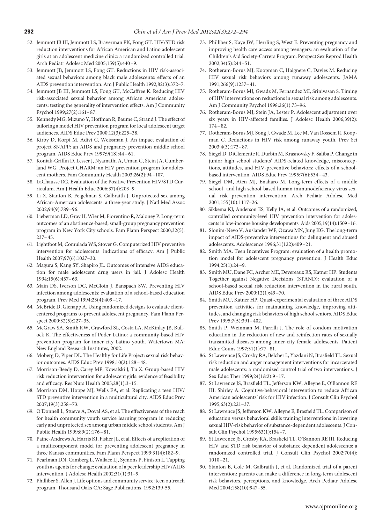- 52. Jemmott JB III, Jemmott LS, Braverman PK, Fong GT. HIV/STD risk reduction interventions for African American and Latino adolescent girls at an adolescent medicine clinic: a randomized controlled trial. Arch Pediatr Adolesc Med 2005;159(5):440 –9.
- 53. Jemmott JB, Jemmott LS, Fong GT. Reductions in HIV risk-associated sexual behaviors among black male adolescents: effects of an AIDS prevention intervention. Am J Public Health 1992;82(3):372–7.
- 54. Jemmott JB III, Jemmott LS, Fong GT, McCaffree K. Reducing HIV risk-associated sexual behavior among African American adolescents: testing the generality of intervention effects. Am J Community Psychol 1999;27(2):161–87.
- <span id="page-20-1"></span>55. Kennedy MG, Mizuno Y, Hoffman R, Baume C, Strand J. The effect of tailoring a model HIV prevention program for local adolescent target audiences. AIDS Educ Prev 2000;12(3):225–38.
- <span id="page-20-2"></span>56. Kirby D, Korpi M, Adivi C, Weissman J. An impact evaluation of project SNAPP: an AIDS and pregnancy prevention middle school program. AIDS Educ Prev 1997;9(1S):44 –61.
- 57. Koniak-Griffın D, Lesser J, Nyamathi A, Uman G, Stein JA, Cumberland WG. Project CHARM: an HIV prevention program for adolescent mothers. Fam Community Health 2003;26(2):94 –107.
- 58. LaChausse RG. Evaluation of the Positive Prevention HIV/STD Curriculum. Am J Health Educ 2006;37(4):203–9.
- 59. Li X, Stanton B, Feigelman S, Galbraith J. Unprotected sex among African-American adolescents: a three-year study. J Natl Med Assoc 2002;94(9):789 –96.
- 60. Lieberman LD, Gray H, Wier M, Fiorentino R, Maloney P. Long-term outcomes of an abstinence-based, small-group pregnancy prevention program in New York City schools. Fam Plann Perspect 2000;32(5): 237–45.
- 61. Lightfoot M, Comulada WS, Stover G. Computerized HIV preventive intervention for adolescents: indications of effıcacy. Am J Public Health 2007;97(6):1027–30.
- 62. Magura S, Kang SY, Shapiro JL. Outcomes of intensive AIDS education for male adolescent drug users in jail. J Adolesc Health 1994;15(6):457–63.
- 63. Main DS, Iverson DC, McGloin J, Banspach SW. Preventing HIV infection among adolescents: evaluation of a school-based education program. Prev Med 1994;23(4):409 –17.
- <span id="page-20-0"></span>64. McBride D, Gienapp A. Using randomized designs to evaluate clientcentered programs to prevent adolescent pregnancy. Fam Plann Perspect 2000;32(5):227–35.
- 65. McGraw SA, Smith KW, Crawford SL, Costa LA, McKinlay JB, Bullock K. The effectiveness of Poder Latino: a community-based HIV prevention program for inner-city Latino youth. Watertown MA: New England Research Institutes, 2002.
- 66. Moberg D, Piper DL. The Healthy for Life Project: sexual risk behavior outcomes. AIDS Educ Prev 1998;10(2):128 –48.
- 67. Morrison-Beedy D, Carey MP, Kowalski J, Tu X. Group-based HIV risk reduction intervention for adolescent girls: evidence of feasibility and effıcacy. Res Nurs Health 2005;28(1):3–15.
- 68. Morrison DM, Hoppe MJ, Wells EA, et al. Replicating a teen HIV/ STD preventive intervention in a multicultural city. AIDS Educ Prev 2007;19(3):258 –73.
- 69. O'Donnell L, Stueve A, Doval AS, et al. The effectiveness of the reach for health community youth service learning program in reducing early and unprotected sex among urban middle school students. Am J Public Health 1999;89(2):176 –81.
- 70. Paine-Andrews A, Harris KJ, Fisher JL, et al. Effects of a replication of a multicomponent model for preventing adolescent pregnancy in three Kansas communities. Fam Plann Perspect 1999;31(4):182–9.
- 71. Pearlman DN, Camberg L, Wallace LJ, Symons P, Finison L. Tapping youth as agents for change: evaluation of a peer leadership HIV/AIDS intervention. J Adolesc Health 2002;31(1):31–9.
- 72. Philliber S, Allen J. Life options and community service: teen outreach program. Thousand Oaks CA: Sage Publications, 1992:139-55.
- <span id="page-20-3"></span>73. Philliber S, Kaye JW, Herrling S, West E. Preventing pregnancy and improving health care access among teenagers: an evaluation of the Children's Aid Society-Carrera Program. Perspect Sex Reprod Health 2002;34(5):244 –51.
- 74. Rotheram-Borus MJ, Koopman C, Haignere C, Davies M. Reducing HIV sexual risk behaviors among runaway adolescents. JAMA 1991;266(9):1237–41.
- 75. Rotheram-Borus MJ, Gwadz M, Fernandez MI, Srinivasan S. Timing of HIV interventions on reductions in sexual risk among adolescents. Am J Community Psychol 1998;26(1):73–96.
- 76. Rotheram-Borus MJ, Stein JA, Lester P. Adolescent adjustment over six years in HIV-affected families. J Adolesc Health 2006;39(2):  $174 - 82$ .
- 77. Rotheram-Borus MJ, Song J, Gwadz M, Lee M, Van Rossem R, Koopman C. Reductions in HIV risk among runaway youth. Prev Sci 2003;4(3):173–87.
- 78. Siegel D, DiClemente R, Durbin M, Krasnovsky F, Saliba P. Change in junior high school students' AIDS-related knowledge, misconceptions, attitudes, and HIV-preventive behaviors: effects of a schoolbased intervention. AIDS Educ Prev 1995;7(6):534 –43.
- <span id="page-20-4"></span>79. Siegel DM, Aten MJ, Enaharo M. Long-term effects of a middle school- and high school-based human immunodefıciency virus sexual risk prevention intervention. Arch Pediatr Adolesc Med 2001;155(10):1117–26.
- 80. Sikkema KJ, Anderson ES, Kelly JA, et al. Outcomes of a randomized, controlled community-level HIV prevention intervention for adolescents in low-income housing developments. Aids 2005;19(14):1509–16.
- 81. Slonim-Nevo V, Auslander WF, Ozawa MN, Jung KG. The long-term impact of AIDS-preventive interventions for delinquent and abused adolescents. Adolescence 1996;31(122):409 –21.
- 82. Smith MA. Teen Incentives Program: evaluation of a health promotion model for adolescent pregnancy prevention. J Health Educ 1994;25(1):24 –9.
- 83. Smith MU, Dane FC, Archer ME, Devereaux RS, Katner HP. Students Together against Negative Decisions (STAND): evaluation of a school-based sexual risk reduction intervention in the rural south. AIDS Educ Prev 2000;12(1):49 –70.
- 84. Smith MU, Katner HP. Quasi-experimental evaluation of three AIDS prevention activities for maintaining knowledge, improving attitudes, and changing risk behaviors of high school seniors. AIDS Educ Prev 1995;7(5):391–402.
- 85. Smith P, Weinman M, Parrilli J. The role of condom motivation education in the reduction of new and reinfection rates of sexually transmitted diseases among inner-city female adolescents. Patient Educ Couns 1997;31(1):77–81.
- 86. St Lawrence JS, Crosby RA, Belcher L, Yazdani N, Brasfıeld TL. Sexual risk reduction and anger management interventions for incarcerated male adolescents: a randomized control trial of two interventions. J Sex Educ Ther 1999;24(1&2):9 –17.
- 87. St Lawrence JS, Brasfıeld TL, Jefferson KW, Alleyne E, O'Bannon RE III, Shirley A. Cognitive-behavioral intervention to reduce African American adolescents' risk for HIV infection. J Consult Clin Psychol 1995;63(2):221–37.
- 88. St Lawrence JS, Jefferson KW, Alleyne E, Brasfıeld TL. Comparison of education versus behavioral skills training interventions in lowering sexual HIV-risk behavior of substance-dependent adolescents. J Consult Clin Psychol 1995;63(1):154 –7.
- 89. St Lawrence JS, Crosby RA, Brasfıeld TL, O'Bannon RE III. Reducing HIV and STD risk behavior of substance dependent adolescents: a randomized controlled trial. J Consult Clin Psychol 2002;70(4): 1010 –21.
- 90. Stanton B, Cole M, Galbraith J, et al. Randomized trial of a parent intervention: parents can make a difference in long-term adolescent risk behaviors, perceptions, and knowledge. Arch Pediatr Adolesc Med 2004;158(10):947–55.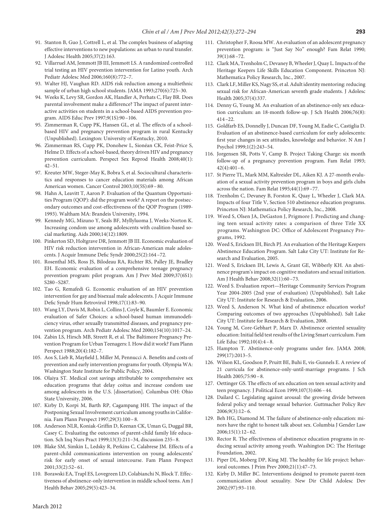- 91. Stanton B, Guo J, Cottrell L, et al. The complex business of adapting effective interventions to new populations: an urban to rural transfer. J Adolesc Health 2005;37(2):163.
- 92. Villarruel AM, Jemmott JB III, Jemmott LS. A randomized controlled trial testing an HIV prevention intervention for Latino youth. Arch Pediatr Adolesc Med 2006;160(8):772–7.
- 93. Walter HJ, Vaughan RD. AIDS risk reduction among a multiethnic sample of urban high school students. JAMA 1993;270(6):725–30.
- 94. Weeks K, Levy SR, Gordon AK, Handler A, Perhats C, Flay BR. Does parental involvement make a difference? The impact of parent interactive activities on students in a school-based AIDS prevention program. AIDS Educ Prev 1997;9(1S):90 –106.
- 95. Zimmerman R, Cupp PK, Hansen GL, et al. The effects of a schoolbased HIV and pregnancy prevention program in rural Kentucky (Unpublished). Lexington: University of Kentucky, 2010.
- 96. Zimmerman RS, Cupp PK, Donohew L, Sionéan CK, Feist-Price S, Helme D. Effects of a school-based, theory driven HIV and pregnancy prevention curriculum. Perspect Sex Reprod Health 2008;40(1): 42–51.
- <span id="page-21-0"></span>97. Kreuter MW, Steger-May K, Bobra S, et al. Sociocultural characteristics and responses to cancer education materials among African American women. Cancer Control 2003;10(5S):69 –80.
- <span id="page-21-6"></span>98. Hahn A, Leavitt T, Aaron P. Evaluation of the Quantum Opportunities Program (QOP): did the program work? A report on the postsecondary outcomes and cost-effectiveness of the QOP Program (1989- 1993). Waltham MA: Brandeis University, 1994.
- <span id="page-21-3"></span>99. Kennedy MG, Mizuno Y, Seals BF, Myllyluoma J, Weeks-Norton K. Increasing condom use among adolescents with coalition-based social marketing. Aids 2000;14(12):1809.
- <span id="page-21-5"></span>100. Pinkerton SD, Holtgrave DR, Jemmott JB III. Economic evaluation of HIV risk reduction intervention in African-American male adolescents. J Acquir Immune Defıc Syndr 2000;25(2):164 –72.
- <span id="page-21-9"></span>101. Rosenthal MS, Ross JS, Bilodeau RA, Richter RS, Palley JE, Bradley EH. Economic evaluation of a comprehensive teenage pregnancy prevention program: pilot program. Am J Prev Med 2009;37(6S1): S280 –S287.
- <span id="page-21-7"></span>102. Tao G, Remafedi G. Economic evaluation of an HIV prevention intervention for gay and bisexual male adolescents. J Acquir Immune Defıc Syndr Hum Retrovirol 1998;17(1):83–90.
- <span id="page-21-4"></span>103. Wang LY, Davis M, Robin L, Collins J, Coyle K, Baumler E. Economic evaluation of Safer Choices: a school-based human immunodefıciency virus, other sexually transmitted diseases, and pregnancy prevention program. Arch Pediatr Adolesc Med 2000;154(10):1017–24.
- <span id="page-21-8"></span>104. Zabin LS, Hirsch MB, Streett R, et al. The Baltimore Pregnancy Prevention Program for Urban Teenagers: I. How did it work? Fam Plann Perspect 1988;20(4):182–7.
- <span id="page-21-1"></span>105. Aos S, Lieb R, Mayfıeld J, Miller M, Pennucci A. Benefıts and costs of prevention and early intervention programs for youth. Olympia WA: Washington State Institute for Public Policy, 2004.
- <span id="page-21-2"></span>106. Olaiya ST. Medical cost savings attributable to comprehensive sex education programs that delay coitus and increase condom use among adolescents in the U.S. [dissertation]. Columbus OH: Ohio State University, 2006.
- <span id="page-21-10"></span>107. Kirby D, Korpi M, Barth RP, Cagampang HH. The impact of the Postponing Sexual Involvement curriculum among youths in California. Fam Plann Perspect 1997;29(3):100 –8.
- <span id="page-21-25"></span>108. Anderson NLR, Koniak-Griffın D, Keenan CK, Uman G, Duggal BR, Casey C. Evaluating the outcomes of parent-child family life education. Sch Inq Nurs Pract 1999;13(3):211–34, discussion 235–8.
- 109. Blake SM, Simkin L, Ledsky R, Perkins C, Calabrese JM. Effects of a parent-child communications intervention on young adolescents' risk for early onset of sexual intercourse. Fam Plann Perspect 2001;33(2):52–61.
- <span id="page-21-22"></span>110. Borawski EA, Trapl ES, Lovegreen LD, Colabianchi N, Block T. Effectiveness of abstinence-only intervention in middle school teens. Am J Health Behav 2005;29(5):423–34.
- <span id="page-21-21"></span><span id="page-21-20"></span><span id="page-21-19"></span><span id="page-21-18"></span><span id="page-21-17"></span><span id="page-21-16"></span><span id="page-21-15"></span><span id="page-21-14"></span><span id="page-21-13"></span>111. Christopher F, Roosa MW. An evaluation of an adolescent pregnancy prevention program: is "Just Say No" enough? Fam Relat 1990; 39(1):68 –72.
- 112. Clark MA, Trenholm C, Devaney B, Wheeler J, Quay L. Impacts of the Heritage Keepers Life Skills Education Component. Princeton NJ: Mathematica Policy Research, Inc., 2007.
- 113. Clark LF, Miller KS, Nagy SS, et al. Adult identity mentoring: reducing sexual risk for African-American seventh grade students. J Adolesc Health 2005;37(4):337.
- <span id="page-21-12"></span>114. Denny G, Young M. An evaluation of an abstinence-only sex education curriculum: an 18-month follow-up. J Sch Health 2006;76(8): 414 –22.
- 115. Goldfarb ES, Donnelly J, Duncan DF, Young M, Eadie C, Castiglia D. Evaluation of an abstinence-based curriculum for early adolescents: fırst year changes in sex attitudes, knowledge and behavior. N Am J Psychol 1999;1(2):243–54.
- 116. Jorgensen SR, Potts V, Camp B. Project Taking Charge: six month follow-up of a pregnancy prevention program. Fam Relat 1993;  $42(4):401-6.$
- 117. St Pierre TL, Mark MM, Kaltreider DL, Aiken KJ. A 27-month evaluation of a sexual activity prevention program in boys and girls clubs across the nation. Fam Relat 1995;44(1):69 –77.
- <span id="page-21-11"></span>118. Trenholm C, Devaney B, Forston K, Quay L, Wheeler J, Clark MA. Impacts of four Title V, Section 510 abstinence education programs. Princeton NJ: Mathematica Policy Research, Inc., 2008.
- 119. Weed S, Olsen JA, DeGaston J, Prigmore J. Predicting and changing teen sexual activity rates: a comparison of three Title XX programs. Washington DC: Offıce of Adolescent Pregnancy Programs, 1992.
- 120. Weed S, Ericksen IH, Birch PJ. An evaluation of the Heritage Keepers Abstinence Education Program. Salt Lake City UT: Institute for Research and Evaluation, 2005.
- 121. Weed S, Ericksen IH, Lewis A, Grant GE, Wibberly KH. An abstinence program's impact on cognitive mediators and sexual initiation. Am J Health Behav 2008;32(1):60 –73.
- 122. Weed S. Evaluation report—Heritage Community Services Program Year 2004-2005 (2nd year of evaluation) (Unpublished). Salt Lake City UT: Institute for Research & Evaluation, 2006.
- 123. Weed S, Anderson N. What kind of abstinence education works? Comparing outcomes of two approaches (Unpublished). Salt Lake City UT: Institute for Research & Evaluation, 2008.
- 124. Young M, Core-Gebhart P, Marx D. Abstinence oriented sexuality education: Initial fıeld test results of the Living Smart curriculum. Fam Life Educ 1992;10(4):4 –8.
- <span id="page-21-24"></span><span id="page-21-23"></span>125. Hampton T. Abstinence-only programs under fıre. JAMA 2008; 299(17):2013–5.
- 126. Wilson KL, Goodson P, Pruitt BE, Buhi E, vis-Gunnels E. A review of 21 curricula for abstinence-only-until-marriage programs. J Sch Health 2005;75:90 –8.
- <span id="page-21-26"></span>127. Oettinger GS. The effects of sex education on teen sexual activity and teen pregnancy. J Political Econ 1999;107(3):606 –44.
- 128. Dailard C. Legislating against arousal: the growing divide between federal policy and teenage sexual behavior. Guttmacher Policy Rev 2006;9(3):12–6.
- 129. Beh HG, Diamond M. The failure of abstinence-only education: minors have the right to honest talk about sex. Columbia J Gender Law  $2006:15(1):12-62$
- <span id="page-21-27"></span>130. Rector R. The effectiveness of abstinence education programs in reducing sexual activity among youth. Washington DC: The Heritage Foundation, 2002.
- <span id="page-21-29"></span><span id="page-21-28"></span>131. Piper DL, Moberg DP, King MJ. The healthy for life project: behavioral outcomes. J Prim Prev 2000;21(1):47–73.
- 132. Kirby D, Miller BC. Interventions designed to promote parent-teen communication about sexuality. New Dir Child Adolesc Dev 2002;(97):93–110.